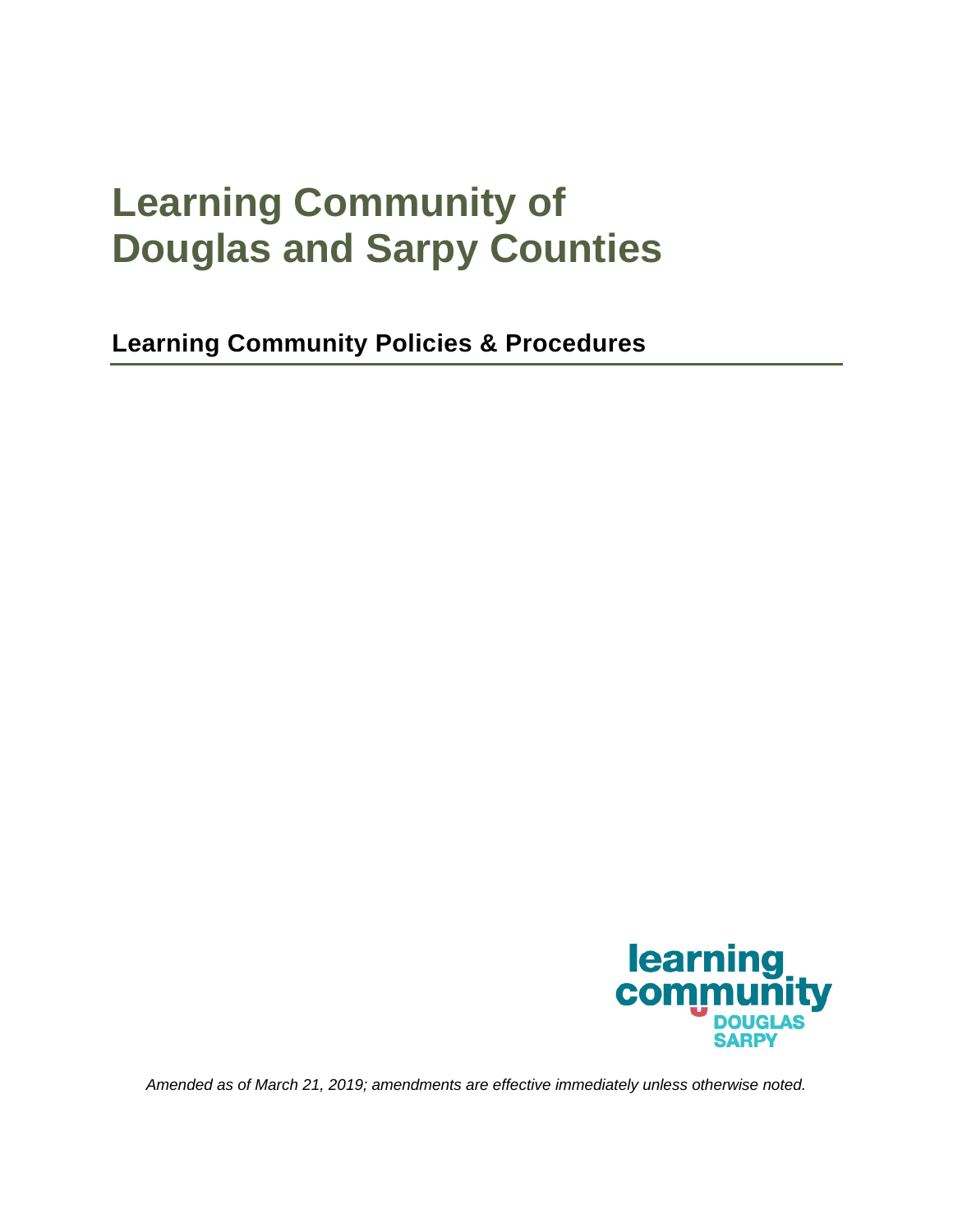# **Learning Community of Douglas and Sarpy Counties**

**Learning Community Policies & Procedures** 



*Amended as of March 21, 2019; amendments are effective immediately unless otherwise noted.*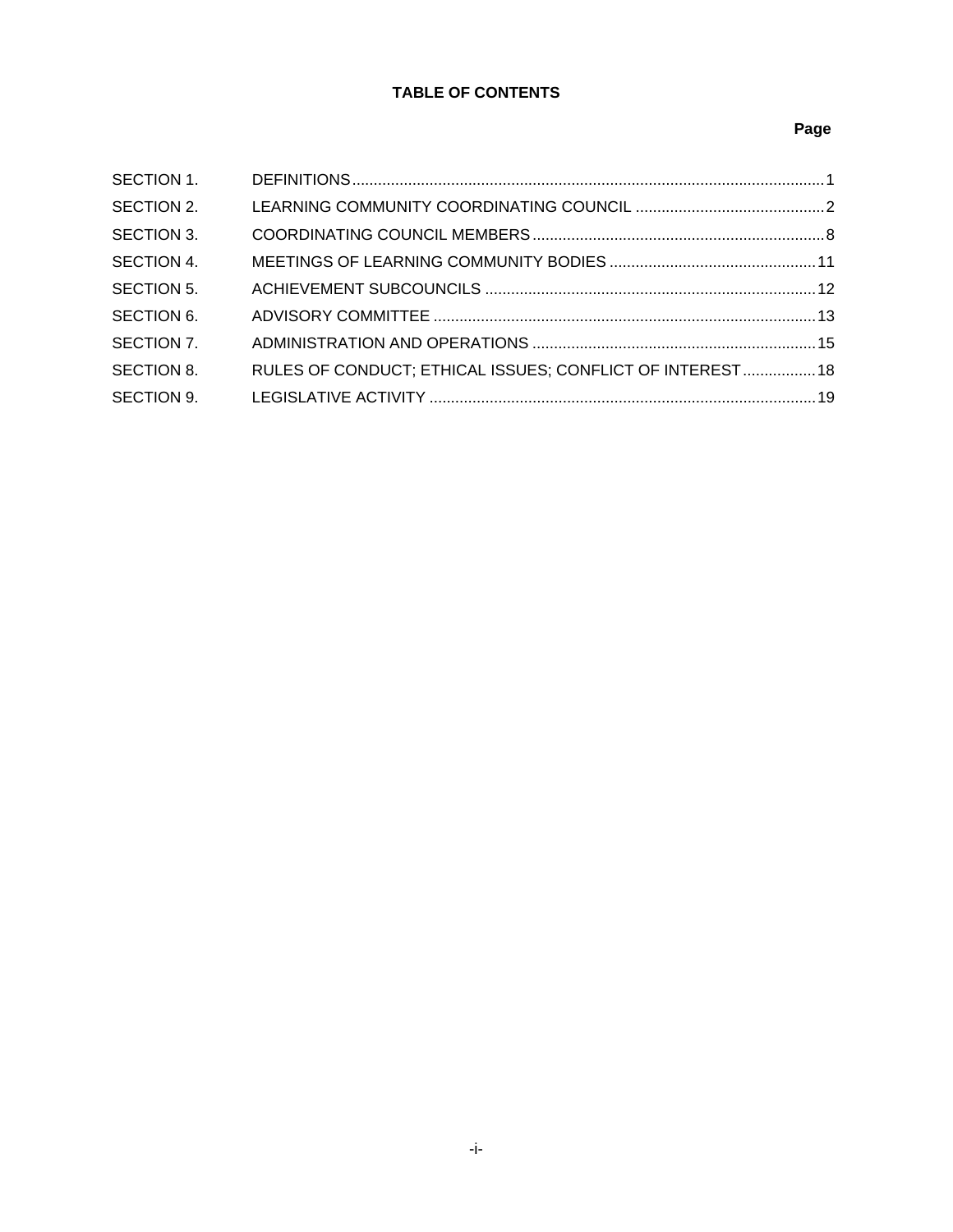# **TABLE OF CONTENTS**

## **Page**

| SECTION 1.        |                                                           |  |
|-------------------|-----------------------------------------------------------|--|
| SECTION 2.        |                                                           |  |
| <b>SECTION 3.</b> |                                                           |  |
| SECTION 4.        |                                                           |  |
| <b>SECTION 5.</b> |                                                           |  |
| SECTION 6.        |                                                           |  |
| SECTION 7.        |                                                           |  |
| SECTION 8.        | RULES OF CONDUCT; ETHICAL ISSUES; CONFLICT OF INTEREST 18 |  |
| SECTION 9.        |                                                           |  |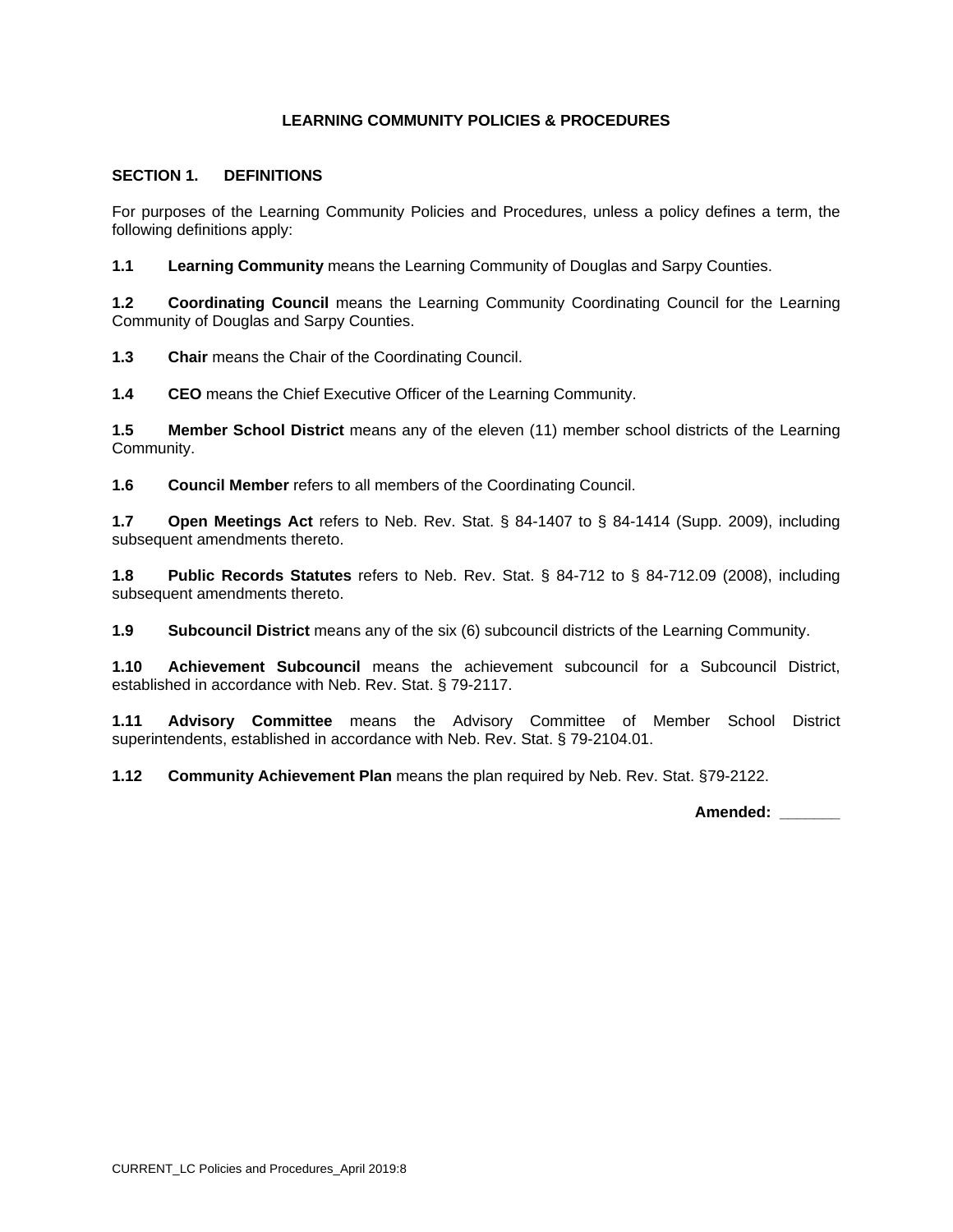## **SECTION 1. DEFINITIONS**

For purposes of the Learning Community Policies and Procedures, unless a policy defines a term, the following definitions apply:

**1.1 Learning Community** means the Learning Community of Douglas and Sarpy Counties.

**1.2 Coordinating Council** means the Learning Community Coordinating Council for the Learning Community of Douglas and Sarpy Counties.

**1.3 Chair** means the Chair of the Coordinating Council.

**1.4 CEO** means the Chief Executive Officer of the Learning Community.

**1.5 Member School District** means any of the eleven (11) member school districts of the Learning Community.

**1.6 Council Member** refers to all members of the Coordinating Council.

**1.7 Open Meetings Act** refers to Neb. Rev. Stat. § 84-1407 to § 84-1414 (Supp. 2009), including subsequent amendments thereto.

**1.8 Public Records Statutes** refers to Neb. Rev. Stat. § 84-712 to § 84-712.09 (2008), including subsequent amendments thereto.

**1.9 Subcouncil District** means any of the six (6) subcouncil districts of the Learning Community.

**1.10 Achievement Subcouncil** means the achievement subcouncil for a Subcouncil District, established in accordance with Neb. Rev. Stat. § 79-2117.

**1.11 Advisory Committee** means the Advisory Committee of Member School District superintendents, established in accordance with Neb. Rev. Stat. § 79-2104.01.

**1.12 Community Achievement Plan** means the plan required by Neb. Rev. Stat. §79-2122.

**Amended: \_\_\_\_\_\_\_**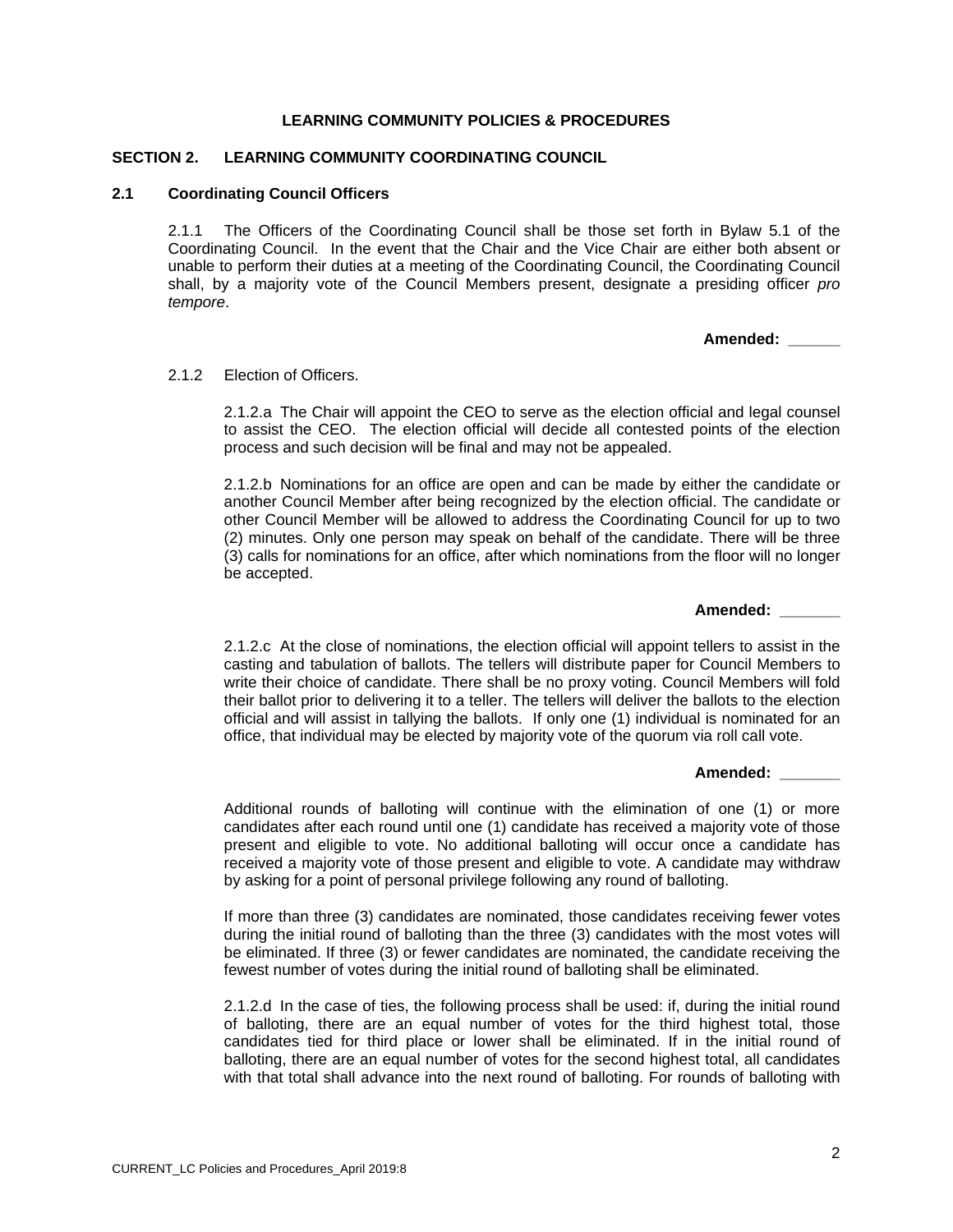#### **SECTION 2. LEARNING COMMUNITY COORDINATING COUNCIL**

#### **2.1 Coordinating Council Officers**

2.1.1 The Officers of the Coordinating Council shall be those set forth in Bylaw 5.1 of the Coordinating Council. In the event that the Chair and the Vice Chair are either both absent or unable to perform their duties at a meeting of the Coordinating Council, the Coordinating Council shall, by a majority vote of the Council Members present, designate a presiding officer *pro tempore*.

**Amended: \_\_\_\_\_\_** 

#### 2.1.2 Election of Officers

2.1.2.a The Chair will appoint the CEO to serve as the election official and legal counsel to assist the CEO. The election official will decide all contested points of the election process and such decision will be final and may not be appealed.

2.1.2.b Nominations for an office are open and can be made by either the candidate or another Council Member after being recognized by the election official. The candidate or other Council Member will be allowed to address the Coordinating Council for up to two (2) minutes. Only one person may speak on behalf of the candidate. There will be three (3) calls for nominations for an office, after which nominations from the floor will no longer be accepted.

**Amended: \_\_\_\_\_\_\_** 

2.1.2.c At the close of nominations, the election official will appoint tellers to assist in the casting and tabulation of ballots. The tellers will distribute paper for Council Members to write their choice of candidate. There shall be no proxy voting. Council Members will fold their ballot prior to delivering it to a teller. The tellers will deliver the ballots to the election official and will assist in tallying the ballots. If only one (1) individual is nominated for an office, that individual may be elected by majority vote of the quorum via roll call vote.

#### **Amended: \_\_\_\_\_\_\_**

Additional rounds of balloting will continue with the elimination of one (1) or more candidates after each round until one (1) candidate has received a majority vote of those present and eligible to vote. No additional balloting will occur once a candidate has received a majority vote of those present and eligible to vote. A candidate may withdraw by asking for a point of personal privilege following any round of balloting.

If more than three (3) candidates are nominated, those candidates receiving fewer votes during the initial round of balloting than the three (3) candidates with the most votes will be eliminated. If three (3) or fewer candidates are nominated, the candidate receiving the fewest number of votes during the initial round of balloting shall be eliminated.

2.1.2.d In the case of ties, the following process shall be used: if, during the initial round of balloting, there are an equal number of votes for the third highest total, those candidates tied for third place or lower shall be eliminated. If in the initial round of balloting, there are an equal number of votes for the second highest total, all candidates with that total shall advance into the next round of balloting. For rounds of balloting with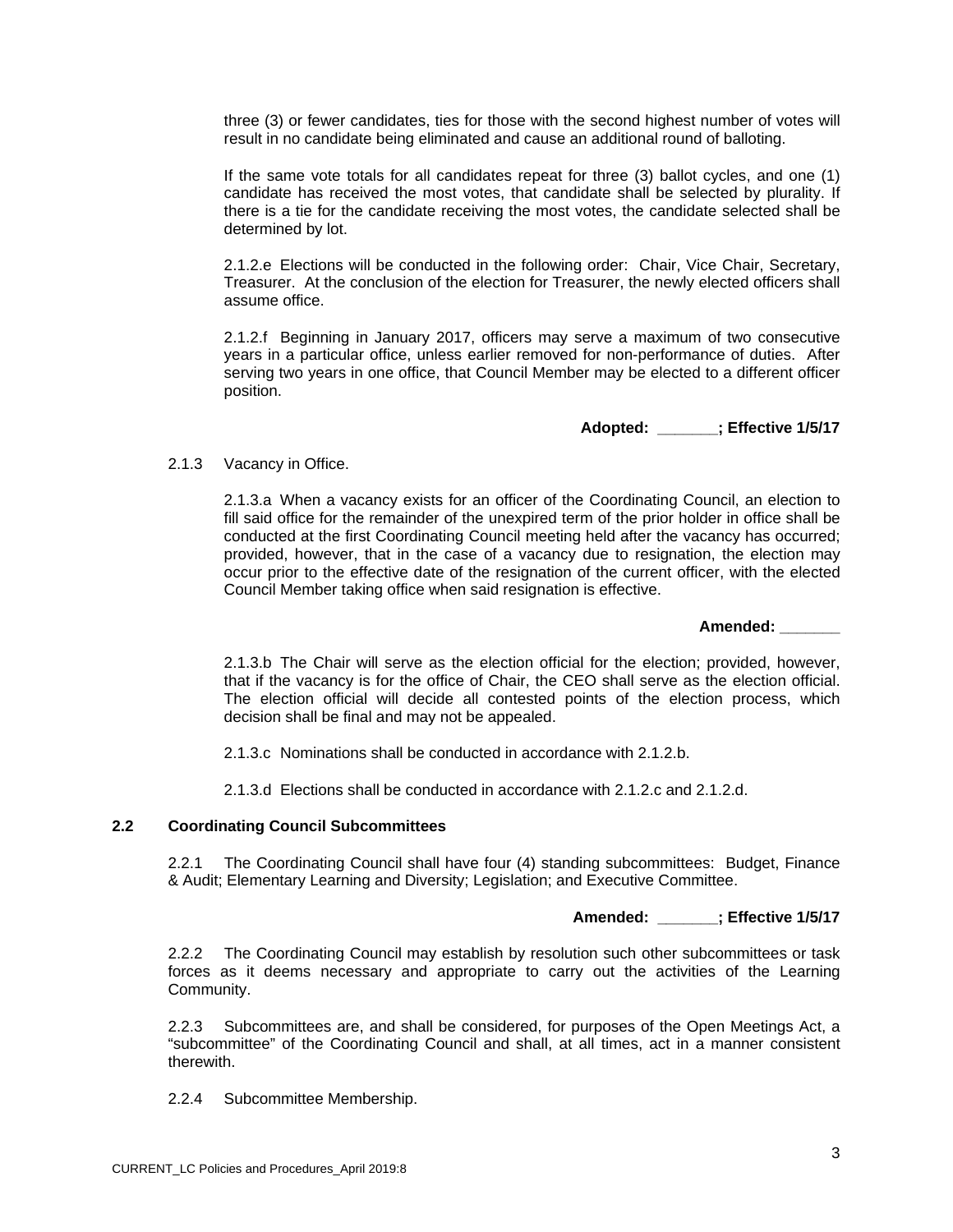three (3) or fewer candidates, ties for those with the second highest number of votes will result in no candidate being eliminated and cause an additional round of balloting.

If the same vote totals for all candidates repeat for three (3) ballot cycles, and one (1) candidate has received the most votes, that candidate shall be selected by plurality. If there is a tie for the candidate receiving the most votes, the candidate selected shall be determined by lot.

2.1.2.e Elections will be conducted in the following order: Chair, Vice Chair, Secretary, Treasurer. At the conclusion of the election for Treasurer, the newly elected officers shall assume office.

2.1.2.f Beginning in January 2017, officers may serve a maximum of two consecutive years in a particular office, unless earlier removed for non-performance of duties. After serving two years in one office, that Council Member may be elected to a different officer position.

**Adopted: \_\_\_\_\_\_\_; Effective 1/5/17** 

## 2.1.3 Vacancy in Office.

2.1.3.a When a vacancy exists for an officer of the Coordinating Council, an election to fill said office for the remainder of the unexpired term of the prior holder in office shall be conducted at the first Coordinating Council meeting held after the vacancy has occurred; provided, however, that in the case of a vacancy due to resignation, the election may occur prior to the effective date of the resignation of the current officer, with the elected Council Member taking office when said resignation is effective.

**Amended: \_\_\_\_\_\_\_** 

2.1.3.b The Chair will serve as the election official for the election; provided, however, that if the vacancy is for the office of Chair, the CEO shall serve as the election official. The election official will decide all contested points of the election process, which decision shall be final and may not be appealed.

2.1.3.c Nominations shall be conducted in accordance with 2.1.2.b.

2.1.3.d Elections shall be conducted in accordance with 2.1.2.c and 2.1.2.d.

## **2.2 Coordinating Council Subcommittees**

2.2.1 The Coordinating Council shall have four (4) standing subcommittees: Budget, Finance & Audit; Elementary Learning and Diversity; Legislation; and Executive Committee.

## **Amended: \_\_\_\_\_\_\_; Effective 1/5/17**

2.2.2 The Coordinating Council may establish by resolution such other subcommittees or task forces as it deems necessary and appropriate to carry out the activities of the Learning Community.

2.2.3 Subcommittees are, and shall be considered, for purposes of the Open Meetings Act, a "subcommittee" of the Coordinating Council and shall, at all times, act in a manner consistent therewith.

2.2.4 Subcommittee Membership.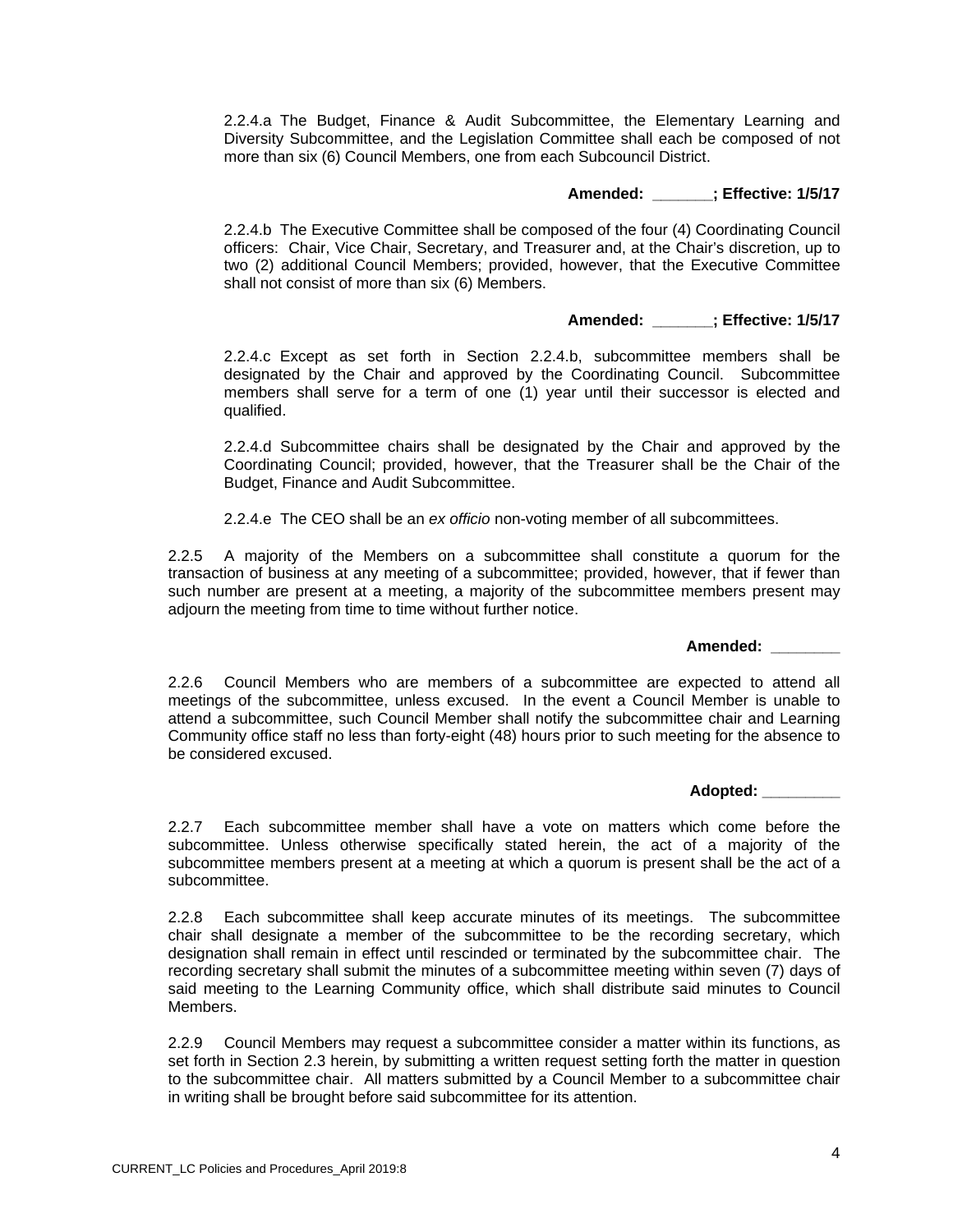2.2.4.a The Budget, Finance & Audit Subcommittee, the Elementary Learning and Diversity Subcommittee, and the Legislation Committee shall each be composed of not more than six (6) Council Members, one from each Subcouncil District.

## **Amended: \_\_\_\_\_\_\_; Effective: 1/5/17**

2.2.4.b The Executive Committee shall be composed of the four (4) Coordinating Council officers: Chair, Vice Chair, Secretary, and Treasurer and, at the Chair's discretion, up to two (2) additional Council Members; provided, however, that the Executive Committee shall not consist of more than six (6) Members.

## **Amended: \_\_\_\_\_\_\_; Effective: 1/5/17**

2.2.4.c Except as set forth in Section 2.2.4.b, subcommittee members shall be designated by the Chair and approved by the Coordinating Council. Subcommittee members shall serve for a term of one (1) year until their successor is elected and qualified.

2.2.4.d Subcommittee chairs shall be designated by the Chair and approved by the Coordinating Council; provided, however, that the Treasurer shall be the Chair of the Budget, Finance and Audit Subcommittee.

2.2.4.e The CEO shall be an *ex officio* non-voting member of all subcommittees.

2.2.5 A majority of the Members on a subcommittee shall constitute a quorum for the transaction of business at any meeting of a subcommittee; provided, however, that if fewer than such number are present at a meeting, a majority of the subcommittee members present may adjourn the meeting from time to time without further notice.

**Amended: \_\_\_\_\_\_\_\_** 

2.2.6 Council Members who are members of a subcommittee are expected to attend all meetings of the subcommittee, unless excused. In the event a Council Member is unable to attend a subcommittee, such Council Member shall notify the subcommittee chair and Learning Community office staff no less than forty-eight (48) hours prior to such meeting for the absence to be considered excused.

**Adopted: \_\_\_\_\_\_\_\_\_**

2.2.7 Each subcommittee member shall have a vote on matters which come before the subcommittee. Unless otherwise specifically stated herein, the act of a majority of the subcommittee members present at a meeting at which a quorum is present shall be the act of a subcommittee.

2.2.8 Each subcommittee shall keep accurate minutes of its meetings. The subcommittee chair shall designate a member of the subcommittee to be the recording secretary, which designation shall remain in effect until rescinded or terminated by the subcommittee chair. The recording secretary shall submit the minutes of a subcommittee meeting within seven (7) days of said meeting to the Learning Community office, which shall distribute said minutes to Council Members.

2.2.9 Council Members may request a subcommittee consider a matter within its functions, as set forth in Section 2.3 herein, by submitting a written request setting forth the matter in question to the subcommittee chair. All matters submitted by a Council Member to a subcommittee chair in writing shall be brought before said subcommittee for its attention.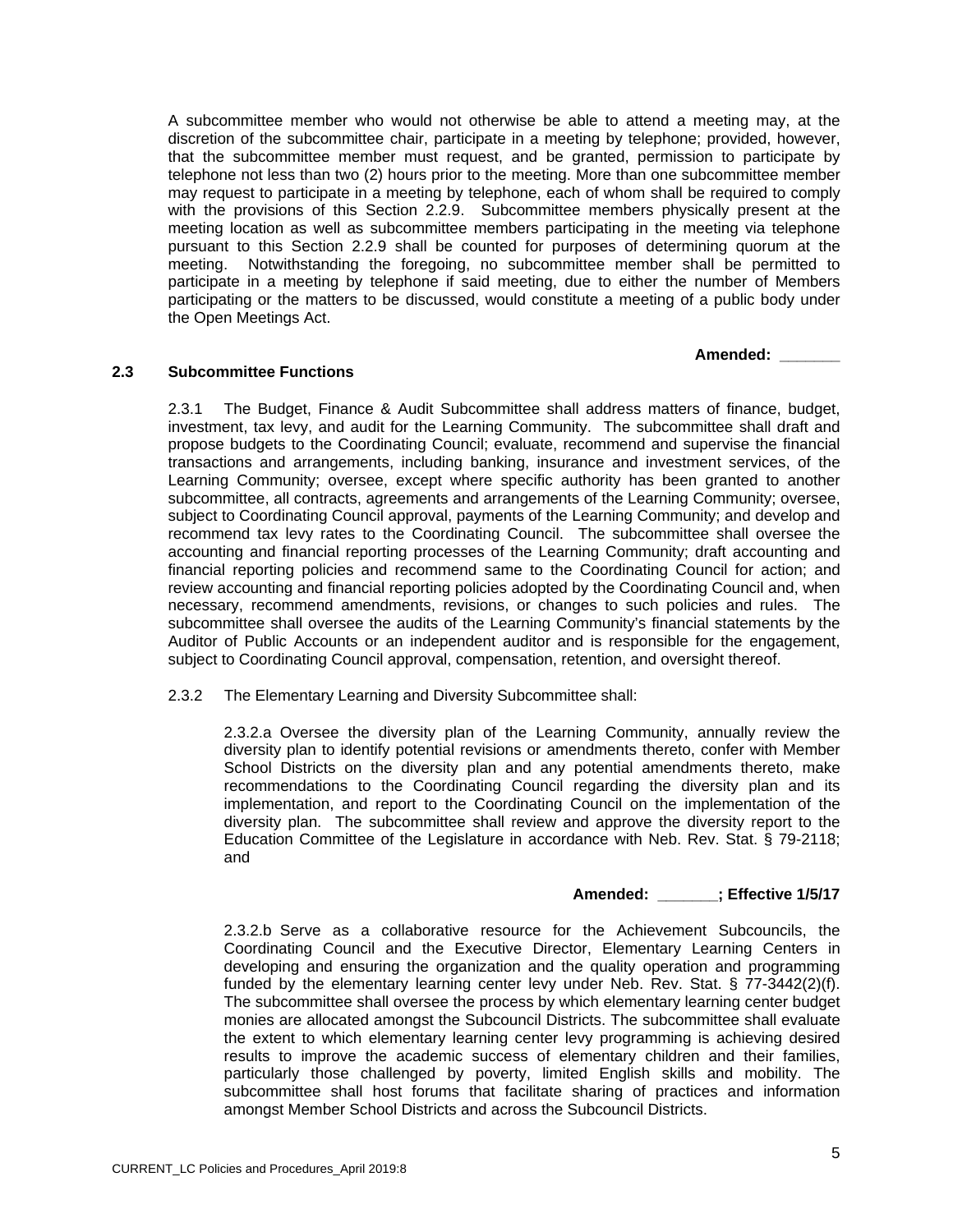A subcommittee member who would not otherwise be able to attend a meeting may, at the discretion of the subcommittee chair, participate in a meeting by telephone; provided, however, that the subcommittee member must request, and be granted, permission to participate by telephone not less than two (2) hours prior to the meeting. More than one subcommittee member may request to participate in a meeting by telephone, each of whom shall be required to comply with the provisions of this Section 2.2.9. Subcommittee members physically present at the meeting location as well as subcommittee members participating in the meeting via telephone pursuant to this Section 2.2.9 shall be counted for purposes of determining quorum at the meeting. Notwithstanding the foregoing, no subcommittee member shall be permitted to participate in a meeting by telephone if said meeting, due to either the number of Members participating or the matters to be discussed, would constitute a meeting of a public body under the Open Meetings Act.

 **Amended: \_\_\_\_\_\_\_** 

## **2.3 Subcommittee Functions**

2.3.1 The Budget, Finance & Audit Subcommittee shall address matters of finance, budget, investment, tax levy, and audit for the Learning Community. The subcommittee shall draft and propose budgets to the Coordinating Council; evaluate, recommend and supervise the financial transactions and arrangements, including banking, insurance and investment services, of the Learning Community; oversee, except where specific authority has been granted to another subcommittee, all contracts, agreements and arrangements of the Learning Community; oversee, subject to Coordinating Council approval, payments of the Learning Community; and develop and recommend tax levy rates to the Coordinating Council. The subcommittee shall oversee the accounting and financial reporting processes of the Learning Community; draft accounting and financial reporting policies and recommend same to the Coordinating Council for action; and review accounting and financial reporting policies adopted by the Coordinating Council and, when necessary, recommend amendments, revisions, or changes to such policies and rules. The subcommittee shall oversee the audits of the Learning Community's financial statements by the Auditor of Public Accounts or an independent auditor and is responsible for the engagement, subject to Coordinating Council approval, compensation, retention, and oversight thereof.

2.3.2 The Elementary Learning and Diversity Subcommittee shall:

2.3.2.a Oversee the diversity plan of the Learning Community, annually review the diversity plan to identify potential revisions or amendments thereto, confer with Member School Districts on the diversity plan and any potential amendments thereto, make recommendations to the Coordinating Council regarding the diversity plan and its implementation, and report to the Coordinating Council on the implementation of the diversity plan. The subcommittee shall review and approve the diversity report to the Education Committee of the Legislature in accordance with Neb. Rev. Stat. § 79-2118; and

## **Amended: \_\_\_\_\_\_\_; Effective 1/5/17**

2.3.2.b Serve as a collaborative resource for the Achievement Subcouncils, the Coordinating Council and the Executive Director, Elementary Learning Centers in developing and ensuring the organization and the quality operation and programming funded by the elementary learning center levy under Neb. Rev. Stat. § 77-3442(2)(f). The subcommittee shall oversee the process by which elementary learning center budget monies are allocated amongst the Subcouncil Districts. The subcommittee shall evaluate the extent to which elementary learning center levy programming is achieving desired results to improve the academic success of elementary children and their families, particularly those challenged by poverty, limited English skills and mobility. The subcommittee shall host forums that facilitate sharing of practices and information amongst Member School Districts and across the Subcouncil Districts.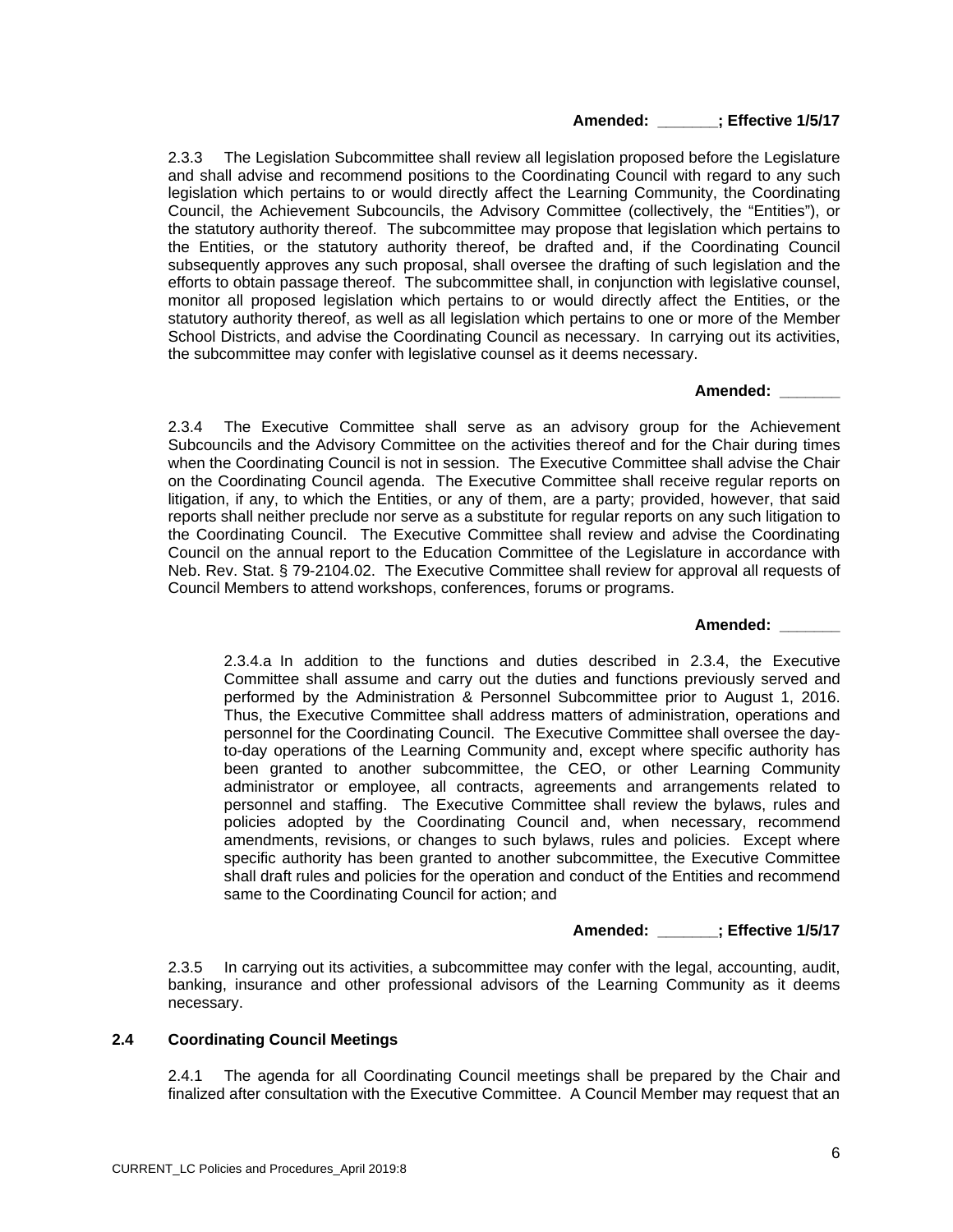#### **Amended: \_\_\_\_\_\_\_; Effective 1/5/17**

2.3.3 The Legislation Subcommittee shall review all legislation proposed before the Legislature and shall advise and recommend positions to the Coordinating Council with regard to any such legislation which pertains to or would directly affect the Learning Community, the Coordinating Council, the Achievement Subcouncils, the Advisory Committee (collectively, the "Entities"), or the statutory authority thereof. The subcommittee may propose that legislation which pertains to the Entities, or the statutory authority thereof, be drafted and, if the Coordinating Council subsequently approves any such proposal, shall oversee the drafting of such legislation and the efforts to obtain passage thereof. The subcommittee shall, in conjunction with legislative counsel, monitor all proposed legislation which pertains to or would directly affect the Entities, or the statutory authority thereof, as well as all legislation which pertains to one or more of the Member School Districts, and advise the Coordinating Council as necessary. In carrying out its activities, the subcommittee may confer with legislative counsel as it deems necessary.

#### **Amended: \_\_\_\_\_\_\_**

2.3.4 The Executive Committee shall serve as an advisory group for the Achievement Subcouncils and the Advisory Committee on the activities thereof and for the Chair during times when the Coordinating Council is not in session. The Executive Committee shall advise the Chair on the Coordinating Council agenda. The Executive Committee shall receive regular reports on litigation, if any, to which the Entities, or any of them, are a party; provided, however, that said reports shall neither preclude nor serve as a substitute for regular reports on any such litigation to the Coordinating Council. The Executive Committee shall review and advise the Coordinating Council on the annual report to the Education Committee of the Legislature in accordance with Neb. Rev. Stat. § 79-2104.02. The Executive Committee shall review for approval all requests of Council Members to attend workshops, conferences, forums or programs.

## **Amended: \_\_\_\_\_\_\_**

2.3.4.a In addition to the functions and duties described in 2.3.4, the Executive Committee shall assume and carry out the duties and functions previously served and performed by the Administration & Personnel Subcommittee prior to August 1, 2016. Thus, the Executive Committee shall address matters of administration, operations and personnel for the Coordinating Council. The Executive Committee shall oversee the dayto-day operations of the Learning Community and, except where specific authority has been granted to another subcommittee, the CEO, or other Learning Community administrator or employee, all contracts, agreements and arrangements related to personnel and staffing. The Executive Committee shall review the bylaws, rules and policies adopted by the Coordinating Council and, when necessary, recommend amendments, revisions, or changes to such bylaws, rules and policies. Except where specific authority has been granted to another subcommittee, the Executive Committee shall draft rules and policies for the operation and conduct of the Entities and recommend same to the Coordinating Council for action; and

## **Amended: \_\_\_\_\_\_\_; Effective 1/5/17**

2.3.5 In carrying out its activities, a subcommittee may confer with the legal, accounting, audit, banking, insurance and other professional advisors of the Learning Community as it deems necessary.

#### **2.4 Coordinating Council Meetings**

2.4.1 The agenda for all Coordinating Council meetings shall be prepared by the Chair and finalized after consultation with the Executive Committee. A Council Member may request that an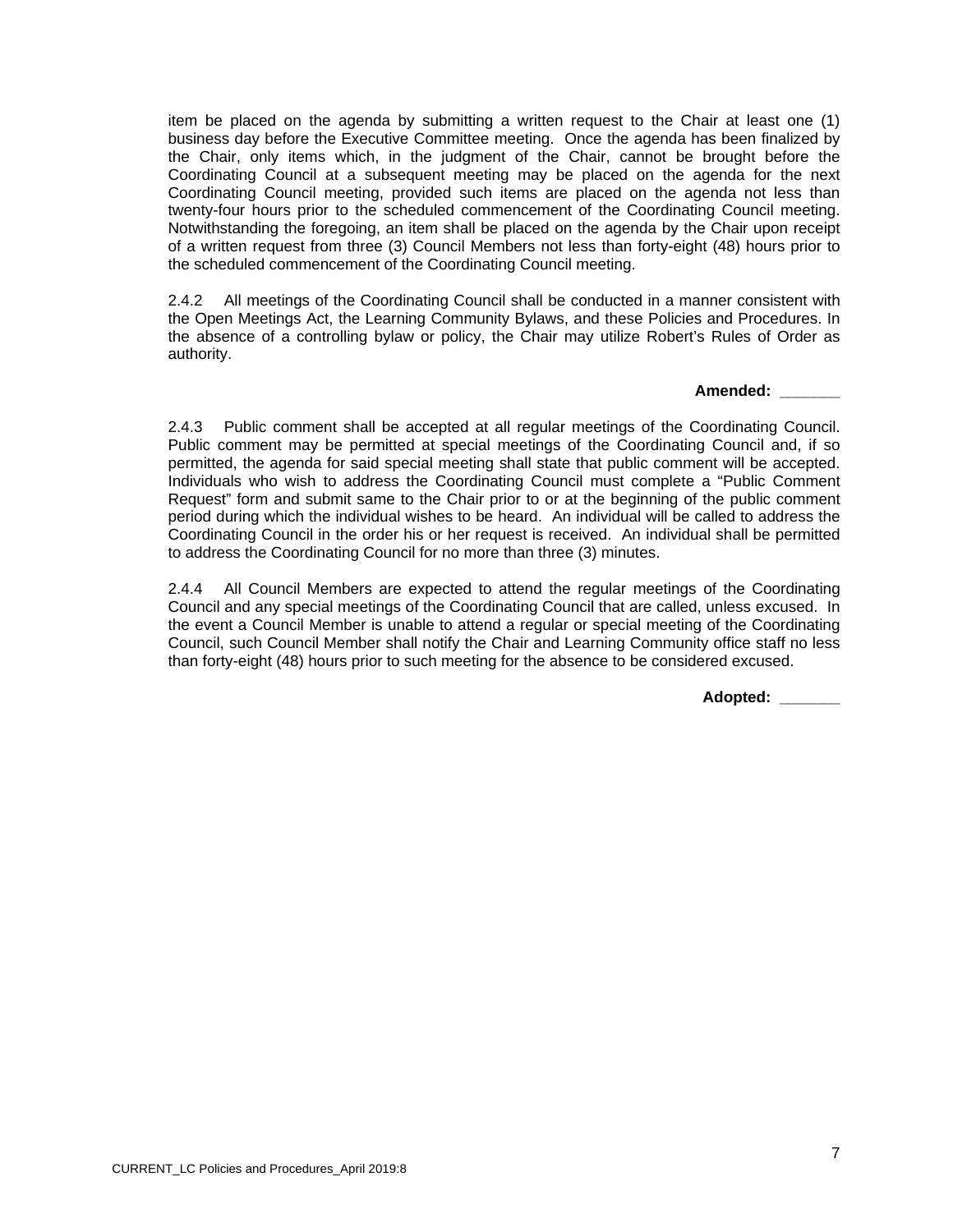item be placed on the agenda by submitting a written request to the Chair at least one (1) business day before the Executive Committee meeting. Once the agenda has been finalized by the Chair, only items which, in the judgment of the Chair, cannot be brought before the Coordinating Council at a subsequent meeting may be placed on the agenda for the next Coordinating Council meeting, provided such items are placed on the agenda not less than twenty-four hours prior to the scheduled commencement of the Coordinating Council meeting. Notwithstanding the foregoing, an item shall be placed on the agenda by the Chair upon receipt of a written request from three (3) Council Members not less than forty-eight (48) hours prior to the scheduled commencement of the Coordinating Council meeting.

2.4.2 All meetings of the Coordinating Council shall be conducted in a manner consistent with the Open Meetings Act, the Learning Community Bylaws, and these Policies and Procedures. In the absence of a controlling bylaw or policy, the Chair may utilize Robert's Rules of Order as authority.

#### **Amended: \_\_\_\_\_\_\_**

2.4.3 Public comment shall be accepted at all regular meetings of the Coordinating Council. Public comment may be permitted at special meetings of the Coordinating Council and, if so permitted, the agenda for said special meeting shall state that public comment will be accepted. Individuals who wish to address the Coordinating Council must complete a "Public Comment Request" form and submit same to the Chair prior to or at the beginning of the public comment period during which the individual wishes to be heard. An individual will be called to address the Coordinating Council in the order his or her request is received. An individual shall be permitted to address the Coordinating Council for no more than three (3) minutes.

2.4.4 All Council Members are expected to attend the regular meetings of the Coordinating Council and any special meetings of the Coordinating Council that are called, unless excused. In the event a Council Member is unable to attend a regular or special meeting of the Coordinating Council, such Council Member shall notify the Chair and Learning Community office staff no less than forty-eight (48) hours prior to such meeting for the absence to be considered excused.

**Adopted: \_\_\_\_\_\_\_**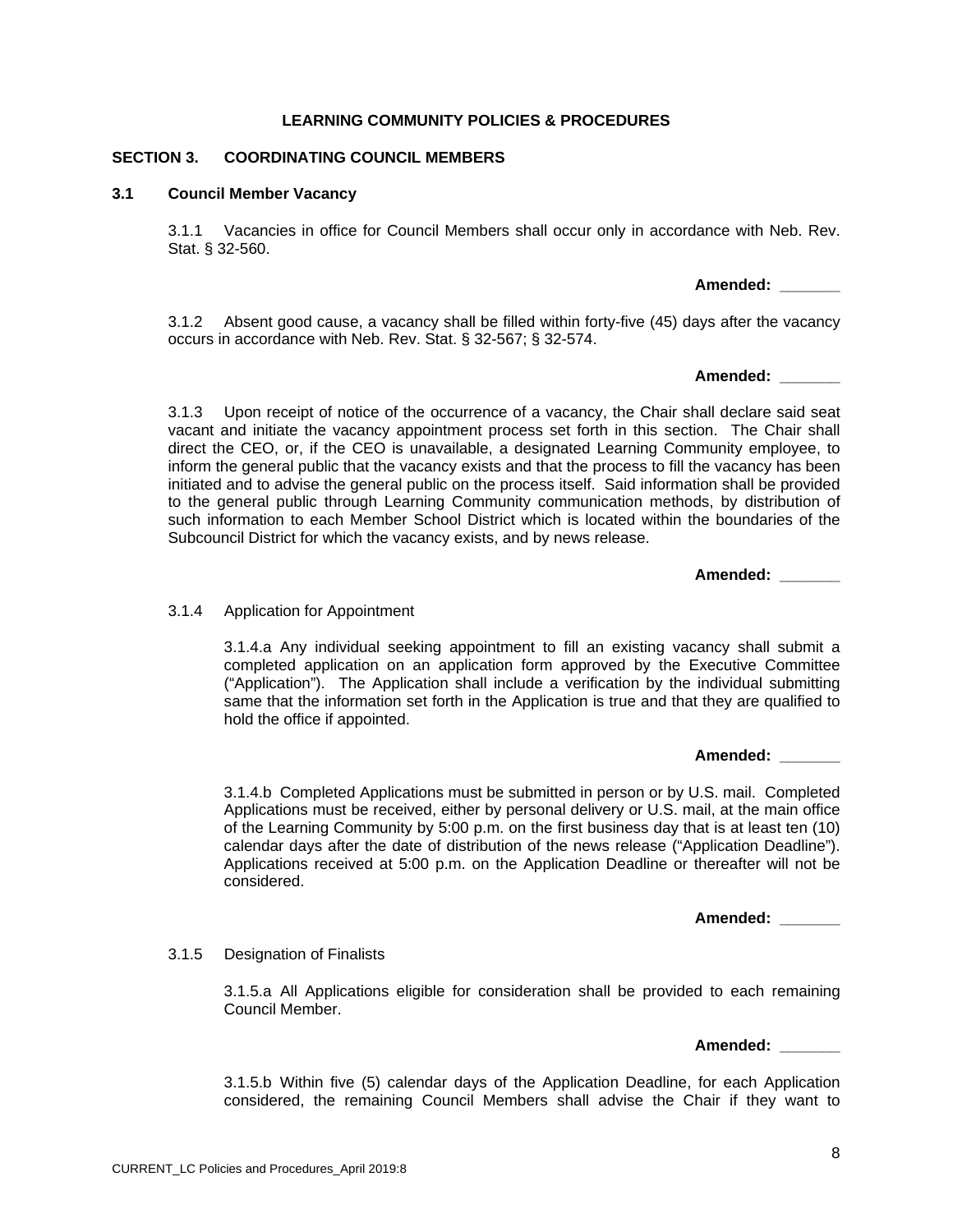#### **SECTION 3. COORDINATING COUNCIL MEMBERS**

#### **3.1 Council Member Vacancy**

3.1.1 Vacancies in office for Council Members shall occur only in accordance with Neb. Rev. Stat. § 32-560.

3.1.2 Absent good cause, a vacancy shall be filled within forty-five (45) days after the vacancy occurs in accordance with Neb. Rev. Stat. § 32-567; § 32-574.

**Amended: \_\_\_\_\_\_\_** 

**Amended: \_\_\_\_\_\_\_** 

3.1.3 Upon receipt of notice of the occurrence of a vacancy, the Chair shall declare said seat vacant and initiate the vacancy appointment process set forth in this section. The Chair shall direct the CEO, or, if the CEO is unavailable, a designated Learning Community employee, to inform the general public that the vacancy exists and that the process to fill the vacancy has been initiated and to advise the general public on the process itself. Said information shall be provided to the general public through Learning Community communication methods, by distribution of such information to each Member School District which is located within the boundaries of the Subcouncil District for which the vacancy exists, and by news release.

**Amended: \_\_\_\_\_\_\_** 

#### 3.1.4 Application for Appointment

3.1.4.a Any individual seeking appointment to fill an existing vacancy shall submit a completed application on an application form approved by the Executive Committee ("Application"). The Application shall include a verification by the individual submitting same that the information set forth in the Application is true and that they are qualified to hold the office if appointed.

**Amended: \_\_\_\_\_\_\_** 

3.1.4.b Completed Applications must be submitted in person or by U.S. mail. Completed Applications must be received, either by personal delivery or U.S. mail, at the main office of the Learning Community by 5:00 p.m. on the first business day that is at least ten (10) calendar days after the date of distribution of the news release ("Application Deadline"). Applications received at 5:00 p.m. on the Application Deadline or thereafter will not be considered.

**Amended: \_\_\_\_\_\_\_** 

#### 3.1.5 Designation of Finalists

3.1.5.a All Applications eligible for consideration shall be provided to each remaining Council Member.

**Amended: \_\_\_\_\_\_\_** 

3.1.5.b Within five (5) calendar days of the Application Deadline, for each Application considered, the remaining Council Members shall advise the Chair if they want to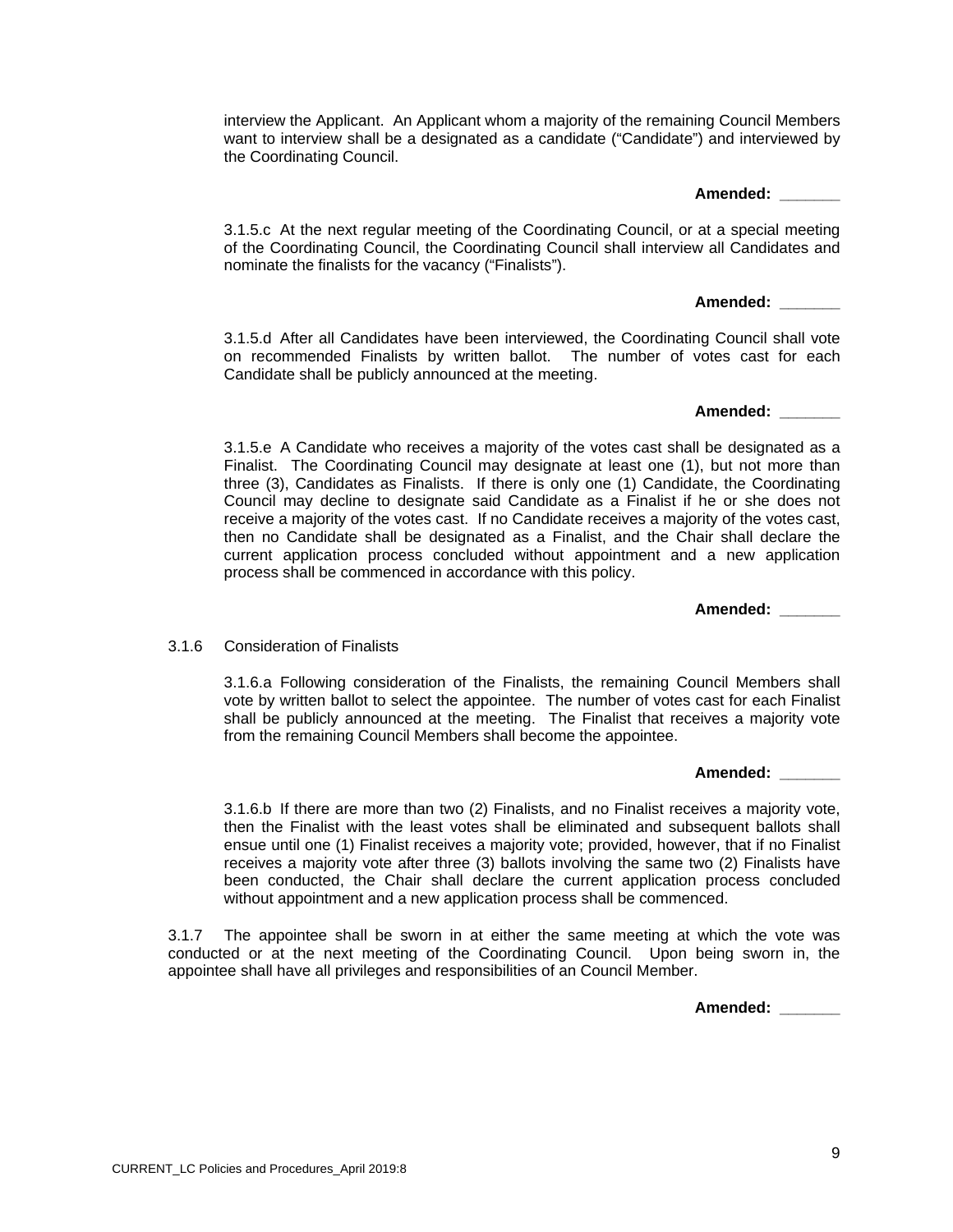CURRENT\_LC Policies and Procedures\_April 2019:8

interview the Applicant. An Applicant whom a majority of the remaining Council Members want to interview shall be a designated as a candidate ("Candidate") and interviewed by the Coordinating Council.

#### **Amended: \_\_\_\_\_\_\_**

3.1.5.c At the next regular meeting of the Coordinating Council, or at a special meeting of the Coordinating Council, the Coordinating Council shall interview all Candidates and nominate the finalists for the vacancy ("Finalists").

#### **Amended: \_\_\_\_\_\_\_**

3.1.5.d After all Candidates have been interviewed, the Coordinating Council shall vote on recommended Finalists by written ballot. The number of votes cast for each Candidate shall be publicly announced at the meeting.

**Amended: \_\_\_\_\_\_\_** 

3.1.5.e A Candidate who receives a majority of the votes cast shall be designated as a Finalist. The Coordinating Council may designate at least one (1), but not more than three (3), Candidates as Finalists. If there is only one (1) Candidate, the Coordinating Council may decline to designate said Candidate as a Finalist if he or she does not receive a majority of the votes cast. If no Candidate receives a majority of the votes cast, then no Candidate shall be designated as a Finalist, and the Chair shall declare the current application process concluded without appointment and a new application process shall be commenced in accordance with this policy.

**Amended: \_\_\_\_\_\_\_** 

3.1.6 Consideration of Finalists

3.1.6.a Following consideration of the Finalists, the remaining Council Members shall vote by written ballot to select the appointee. The number of votes cast for each Finalist shall be publicly announced at the meeting. The Finalist that receives a majority vote from the remaining Council Members shall become the appointee.

**Amended: \_\_\_\_\_\_\_** 

3.1.6.b If there are more than two (2) Finalists, and no Finalist receives a majority vote, then the Finalist with the least votes shall be eliminated and subsequent ballots shall ensue until one (1) Finalist receives a majority vote; provided, however, that if no Finalist receives a majority vote after three (3) ballots involving the same two (2) Finalists have been conducted, the Chair shall declare the current application process concluded without appointment and a new application process shall be commenced.

3.1.7 The appointee shall be sworn in at either the same meeting at which the vote was conducted or at the next meeting of the Coordinating Council. Upon being sworn in, the appointee shall have all privileges and responsibilities of an Council Member.

**Amended: \_\_\_\_\_\_\_**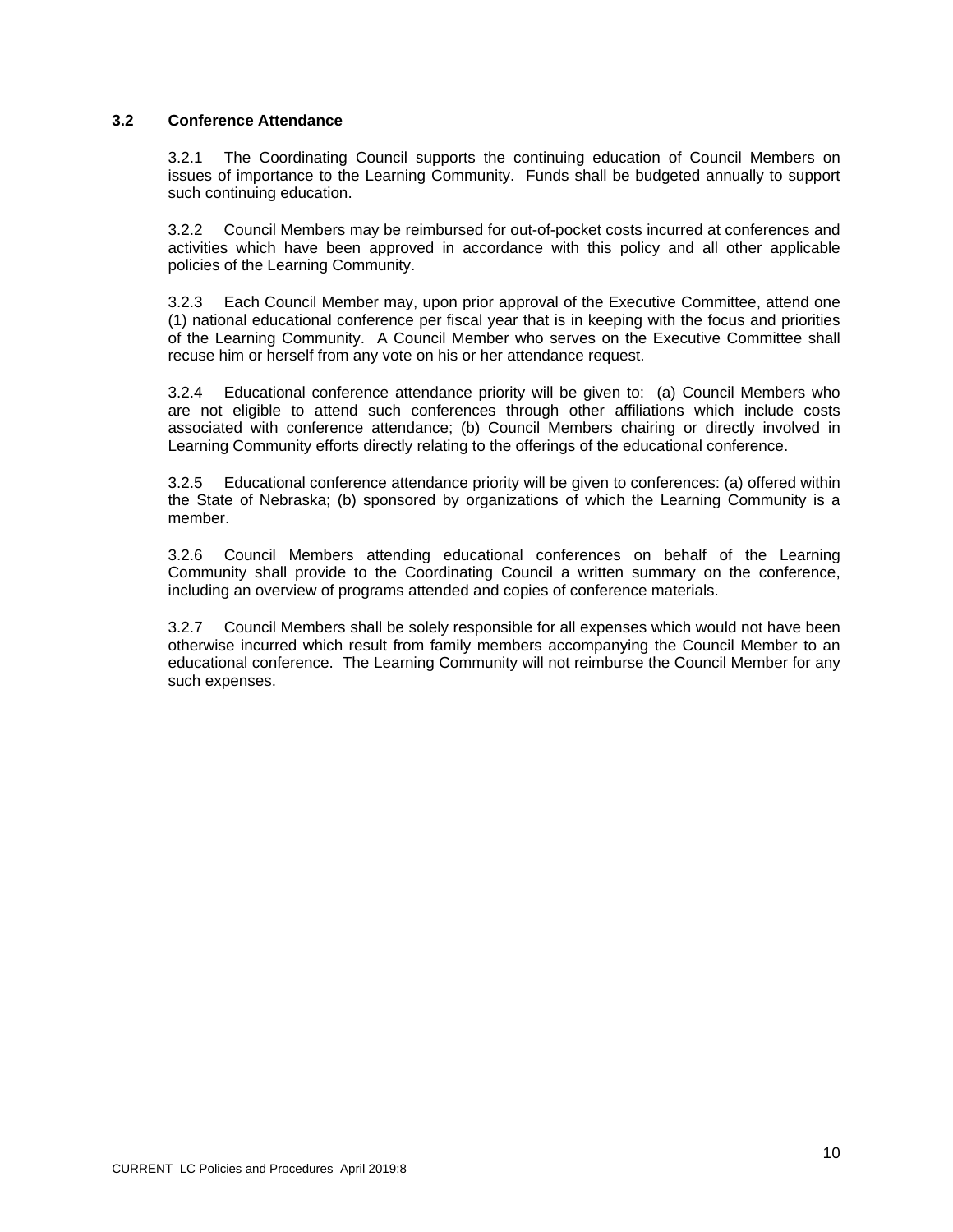## **3.2 Conference Attendance**

3.2.1 The Coordinating Council supports the continuing education of Council Members on issues of importance to the Learning Community. Funds shall be budgeted annually to support such continuing education.

3.2.2 Council Members may be reimbursed for out-of-pocket costs incurred at conferences and activities which have been approved in accordance with this policy and all other applicable policies of the Learning Community.

3.2.3 Each Council Member may, upon prior approval of the Executive Committee, attend one (1) national educational conference per fiscal year that is in keeping with the focus and priorities of the Learning Community. A Council Member who serves on the Executive Committee shall recuse him or herself from any vote on his or her attendance request.

3.2.4 Educational conference attendance priority will be given to: (a) Council Members who are not eligible to attend such conferences through other affiliations which include costs associated with conference attendance; (b) Council Members chairing or directly involved in Learning Community efforts directly relating to the offerings of the educational conference.

3.2.5 Educational conference attendance priority will be given to conferences: (a) offered within the State of Nebraska; (b) sponsored by organizations of which the Learning Community is a member.

3.2.6 Council Members attending educational conferences on behalf of the Learning Community shall provide to the Coordinating Council a written summary on the conference, including an overview of programs attended and copies of conference materials.

3.2.7 Council Members shall be solely responsible for all expenses which would not have been otherwise incurred which result from family members accompanying the Council Member to an educational conference. The Learning Community will not reimburse the Council Member for any such expenses.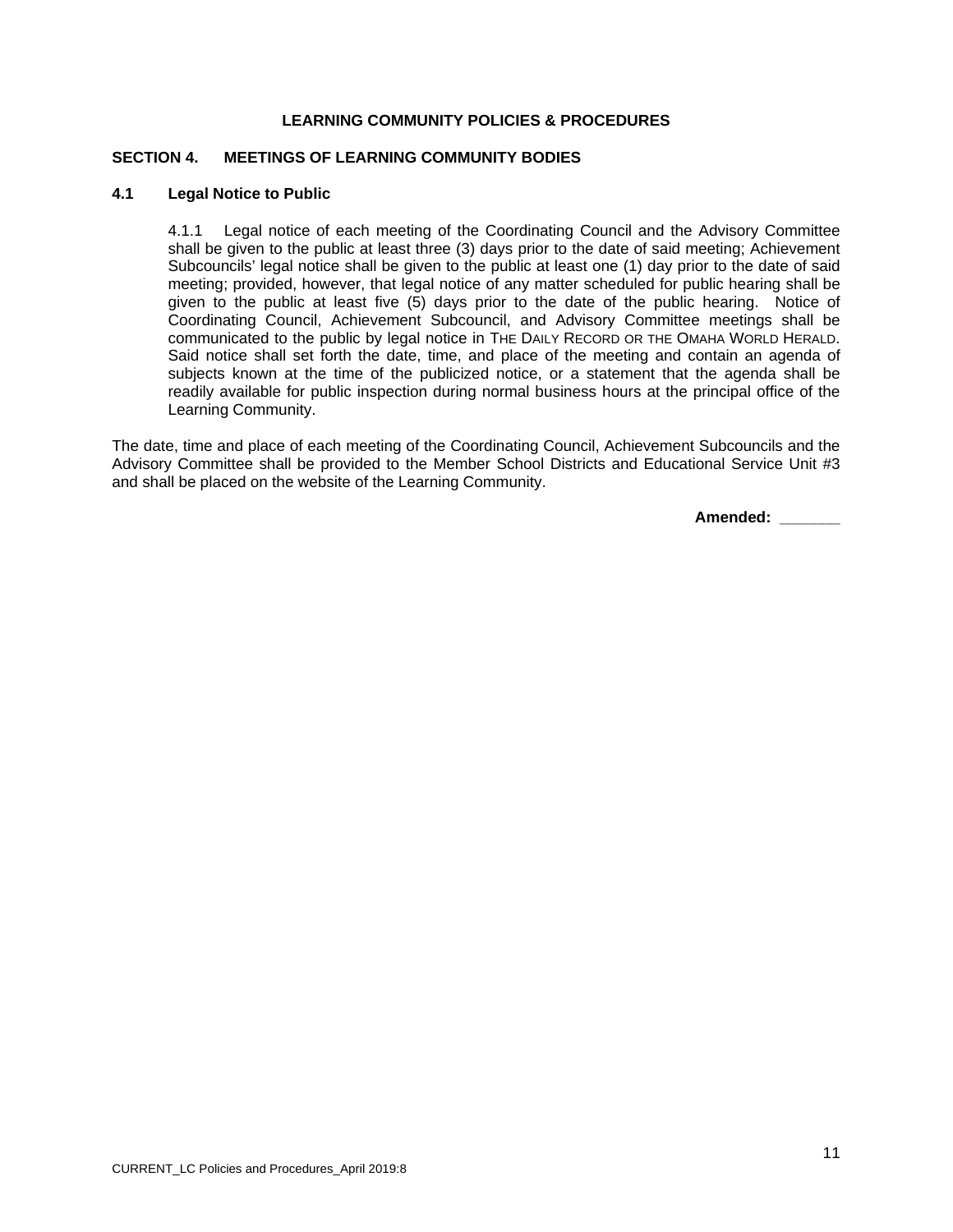## **SECTION 4. MEETINGS OF LEARNING COMMUNITY BODIES**

#### **4.1 Legal Notice to Public**

4.1.1 Legal notice of each meeting of the Coordinating Council and the Advisory Committee shall be given to the public at least three (3) days prior to the date of said meeting; Achievement Subcouncils' legal notice shall be given to the public at least one (1) day prior to the date of said meeting; provided, however, that legal notice of any matter scheduled for public hearing shall be given to the public at least five (5) days prior to the date of the public hearing. Notice of Coordinating Council, Achievement Subcouncil, and Advisory Committee meetings shall be communicated to the public by legal notice in THE DAILY RECORD OR THE OMAHA WORLD HERALD. Said notice shall set forth the date, time, and place of the meeting and contain an agenda of subjects known at the time of the publicized notice, or a statement that the agenda shall be readily available for public inspection during normal business hours at the principal office of the Learning Community.

The date, time and place of each meeting of the Coordinating Council, Achievement Subcouncils and the Advisory Committee shall be provided to the Member School Districts and Educational Service Unit #3 and shall be placed on the website of the Learning Community.

 **Amended: \_\_\_\_\_\_\_**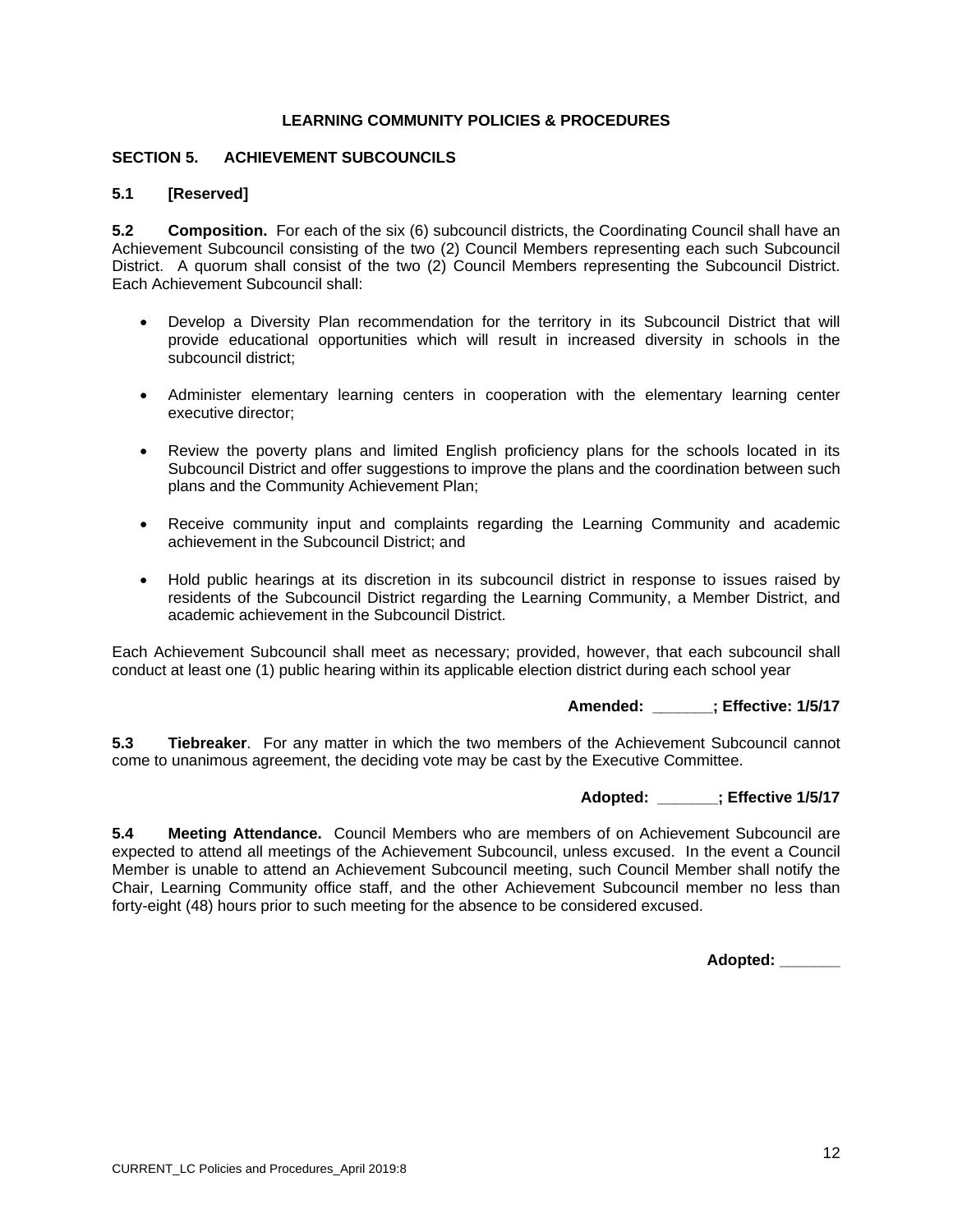## **SECTION 5. ACHIEVEMENT SUBCOUNCILS**

## **5.1 [Reserved]**

**5.2 Composition.** For each of the six (6) subcouncil districts, the Coordinating Council shall have an Achievement Subcouncil consisting of the two (2) Council Members representing each such Subcouncil District. A quorum shall consist of the two (2) Council Members representing the Subcouncil District. Each Achievement Subcouncil shall:

- Develop a Diversity Plan recommendation for the territory in its Subcouncil District that will provide educational opportunities which will result in increased diversity in schools in the subcouncil district;
- Administer elementary learning centers in cooperation with the elementary learning center executive director;
- Review the poverty plans and limited English proficiency plans for the schools located in its Subcouncil District and offer suggestions to improve the plans and the coordination between such plans and the Community Achievement Plan;
- Receive community input and complaints regarding the Learning Community and academic achievement in the Subcouncil District; and
- Hold public hearings at its discretion in its subcouncil district in response to issues raised by residents of the Subcouncil District regarding the Learning Community, a Member District, and academic achievement in the Subcouncil District.

Each Achievement Subcouncil shall meet as necessary; provided, however, that each subcouncil shall conduct at least one (1) public hearing within its applicable election district during each school year

**Amended: \_\_\_\_\_\_\_; Effective: 1/5/17** 

**5.3 Tiebreaker**. For any matter in which the two members of the Achievement Subcouncil cannot come to unanimous agreement, the deciding vote may be cast by the Executive Committee.

## **Adopted: \_\_\_\_\_\_\_; Effective 1/5/17**

**5.4 Meeting Attendance.** Council Members who are members of on Achievement Subcouncil are expected to attend all meetings of the Achievement Subcouncil, unless excused. In the event a Council Member is unable to attend an Achievement Subcouncil meeting, such Council Member shall notify the Chair, Learning Community office staff, and the other Achievement Subcouncil member no less than forty-eight (48) hours prior to such meeting for the absence to be considered excused.

**Adopted: \_\_\_\_\_\_\_**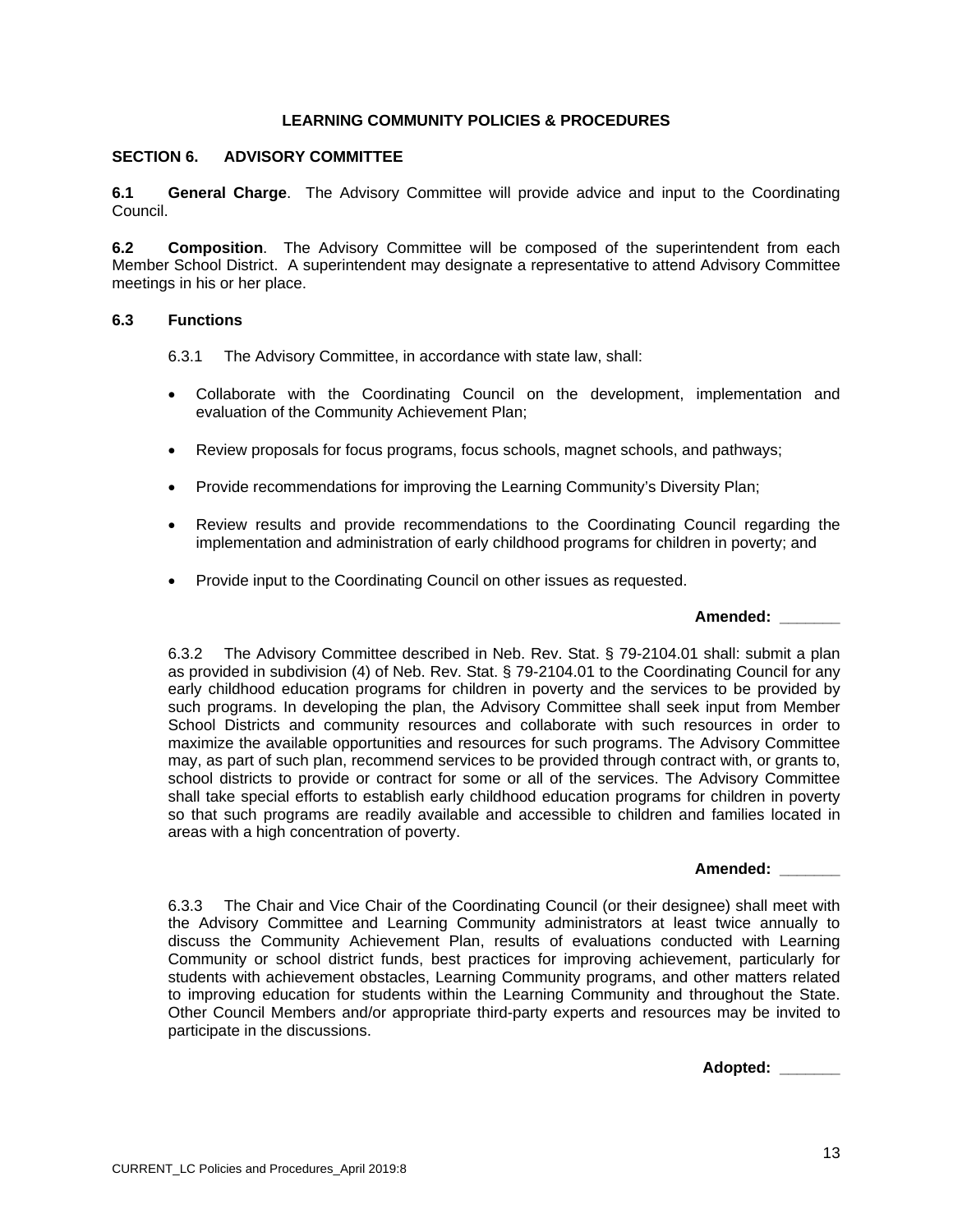### **SECTION 6. ADVISORY COMMITTEE**

**6.1 General Charge**.The Advisory Committee will provide advice and input to the Coordinating Council.

**6.2 Composition**. The Advisory Committee will be composed of the superintendent from each Member School District. A superintendent may designate a representative to attend Advisory Committee meetings in his or her place.

## **6.3 Functions**

6.3.1 The Advisory Committee, in accordance with state law, shall:

- Collaborate with the Coordinating Council on the development, implementation and evaluation of the Community Achievement Plan;
- Review proposals for focus programs, focus schools, magnet schools, and pathways;
- Provide recommendations for improving the Learning Community's Diversity Plan;
- Review results and provide recommendations to the Coordinating Council regarding the implementation and administration of early childhood programs for children in poverty; and
- Provide input to the Coordinating Council on other issues as requested.

| Amended: |  |
|----------|--|
|          |  |

6.3.2 The Advisory Committee described in Neb. Rev. Stat. § 79-2104.01 shall: submit a plan as provided in subdivision (4) of Neb. Rev. Stat. § 79-2104.01 to the Coordinating Council for any early childhood education programs for children in poverty and the services to be provided by such programs. In developing the plan, the Advisory Committee shall seek input from Member School Districts and community resources and collaborate with such resources in order to maximize the available opportunities and resources for such programs. The Advisory Committee may, as part of such plan, recommend services to be provided through contract with, or grants to, school districts to provide or contract for some or all of the services. The Advisory Committee shall take special efforts to establish early childhood education programs for children in poverty so that such programs are readily available and accessible to children and families located in areas with a high concentration of poverty.

#### **Amended: \_\_\_\_\_\_\_**

6.3.3 The Chair and Vice Chair of the Coordinating Council (or their designee) shall meet with the Advisory Committee and Learning Community administrators at least twice annually to discuss the Community Achievement Plan, results of evaluations conducted with Learning Community or school district funds, best practices for improving achievement, particularly for students with achievement obstacles, Learning Community programs, and other matters related to improving education for students within the Learning Community and throughout the State. Other Council Members and/or appropriate third-party experts and resources may be invited to participate in the discussions.

**Adopted: \_\_\_\_\_\_\_**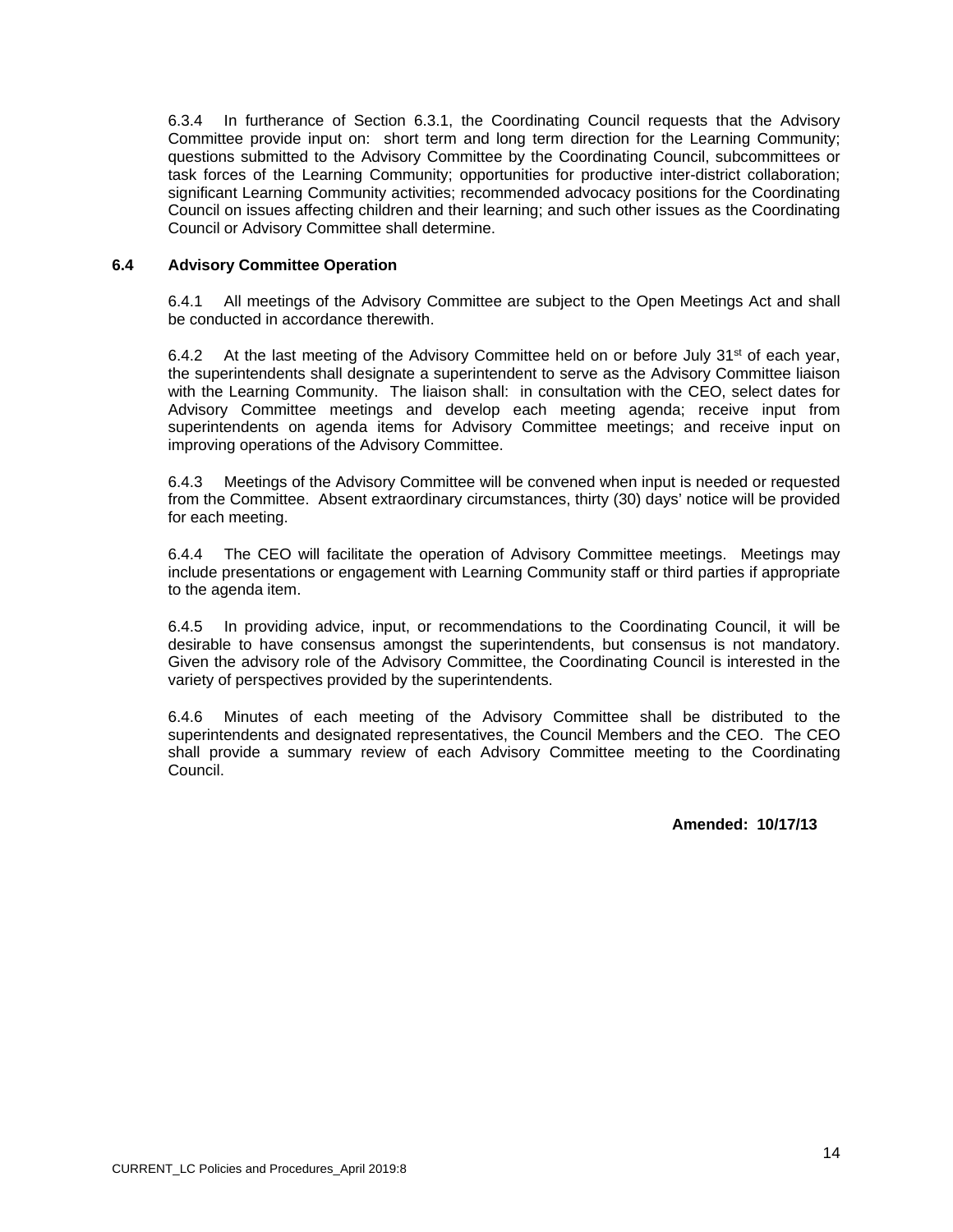6.3.4 In furtherance of Section 6.3.1, the Coordinating Council requests that the Advisory Committee provide input on: short term and long term direction for the Learning Community; questions submitted to the Advisory Committee by the Coordinating Council, subcommittees or task forces of the Learning Community; opportunities for productive inter-district collaboration; significant Learning Community activities; recommended advocacy positions for the Coordinating Council on issues affecting children and their learning; and such other issues as the Coordinating Council or Advisory Committee shall determine.

## **6.4 Advisory Committee Operation**

6.4.1 All meetings of the Advisory Committee are subject to the Open Meetings Act and shall be conducted in accordance therewith.

6.4.2 At the last meeting of the Advisory Committee held on or before July  $31<sup>st</sup>$  of each year, the superintendents shall designate a superintendent to serve as the Advisory Committee liaison with the Learning Community. The liaison shall: in consultation with the CEO, select dates for Advisory Committee meetings and develop each meeting agenda; receive input from superintendents on agenda items for Advisory Committee meetings; and receive input on improving operations of the Advisory Committee.

6.4.3 Meetings of the Advisory Committee will be convened when input is needed or requested from the Committee. Absent extraordinary circumstances, thirty (30) days' notice will be provided for each meeting.

6.4.4 The CEO will facilitate the operation of Advisory Committee meetings. Meetings may include presentations or engagement with Learning Community staff or third parties if appropriate to the agenda item.

6.4.5 In providing advice, input, or recommendations to the Coordinating Council, it will be desirable to have consensus amongst the superintendents, but consensus is not mandatory. Given the advisory role of the Advisory Committee, the Coordinating Council is interested in the variety of perspectives provided by the superintendents.

6.4.6 Minutes of each meeting of the Advisory Committee shall be distributed to the superintendents and designated representatives, the Council Members and the CEO. The CEO shall provide a summary review of each Advisory Committee meeting to the Coordinating Council.

**Amended: 10/17/13**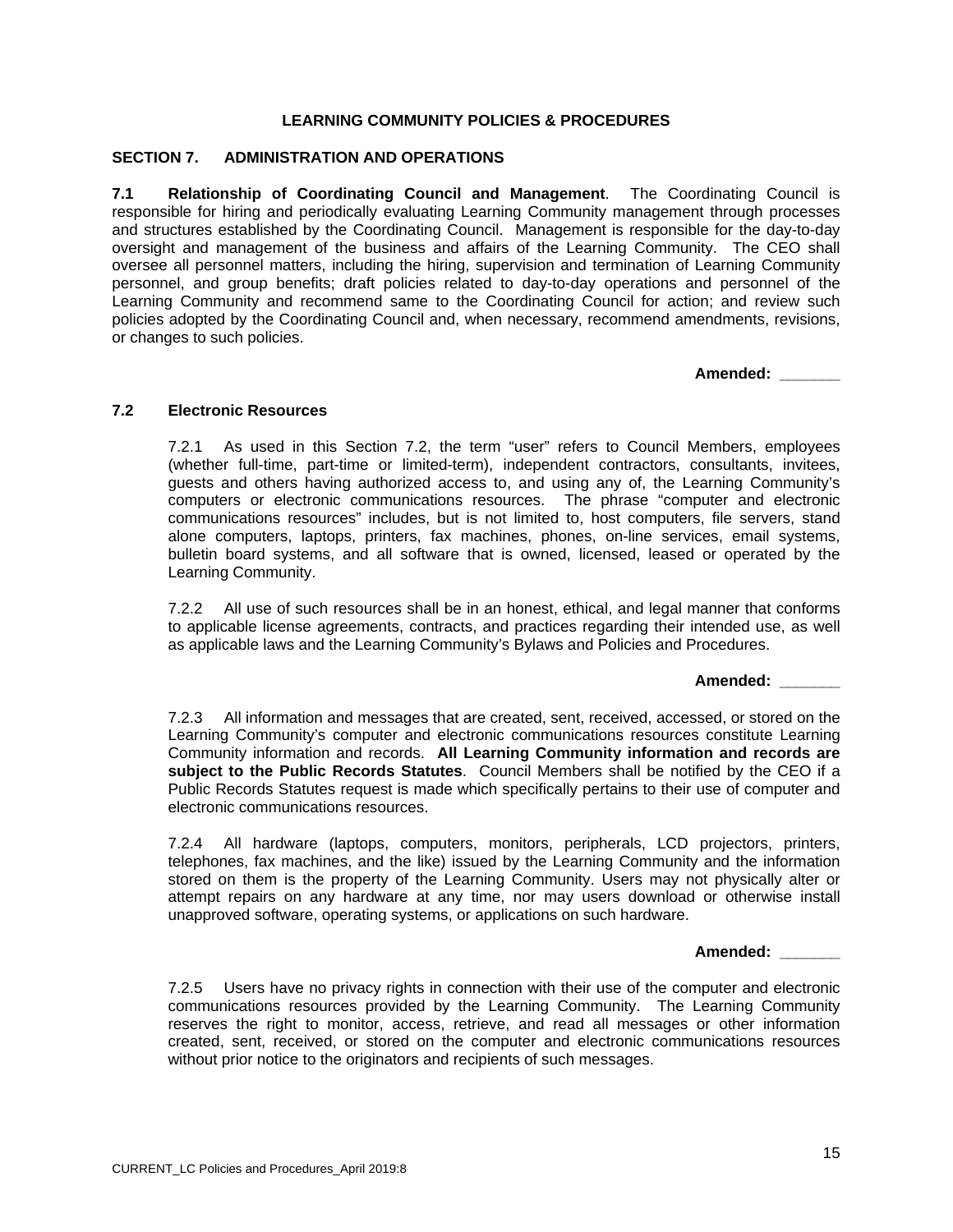## **SECTION 7. ADMINISTRATION AND OPERATIONS**

**7.1 Relationship of Coordinating Council and Management**. The Coordinating Council is responsible for hiring and periodically evaluating Learning Community management through processes and structures established by the Coordinating Council. Management is responsible for the day-to-day oversight and management of the business and affairs of the Learning Community. The CEO shall oversee all personnel matters, including the hiring, supervision and termination of Learning Community personnel, and group benefits; draft policies related to day-to-day operations and personnel of the Learning Community and recommend same to the Coordinating Council for action; and review such policies adopted by the Coordinating Council and, when necessary, recommend amendments, revisions, or changes to such policies.

**Amended: \_\_\_\_\_\_\_** 

## **7.2 Electronic Resources**

7.2.1 As used in this Section 7.2, the term "user" refers to Council Members, employees (whether full-time, part-time or limited-term), independent contractors, consultants, invitees, guests and others having authorized access to, and using any of, the Learning Community's computers or electronic communications resources. The phrase "computer and electronic communications resources" includes, but is not limited to, host computers, file servers, stand alone computers, laptops, printers, fax machines, phones, on-line services, email systems, bulletin board systems, and all software that is owned, licensed, leased or operated by the Learning Community.

7.2.2 All use of such resources shall be in an honest, ethical, and legal manner that conforms to applicable license agreements, contracts, and practices regarding their intended use, as well as applicable laws and the Learning Community's Bylaws and Policies and Procedures.

**Amended: \_\_\_\_\_\_\_** 

7.2.3 All information and messages that are created, sent, received, accessed, or stored on the Learning Community's computer and electronic communications resources constitute Learning Community information and records. **All Learning Community information and records are subject to the Public Records Statutes**. Council Members shall be notified by the CEO if a Public Records Statutes request is made which specifically pertains to their use of computer and electronic communications resources.

7.2.4 All hardware (laptops, computers, monitors, peripherals, LCD projectors, printers, telephones, fax machines, and the like) issued by the Learning Community and the information stored on them is the property of the Learning Community. Users may not physically alter or attempt repairs on any hardware at any time, nor may users download or otherwise install unapproved software, operating systems, or applications on such hardware.

**Amended: \_\_\_\_\_\_\_** 

7.2.5 Users have no privacy rights in connection with their use of the computer and electronic communications resources provided by the Learning Community. The Learning Community reserves the right to monitor, access, retrieve, and read all messages or other information created, sent, received, or stored on the computer and electronic communications resources without prior notice to the originators and recipients of such messages.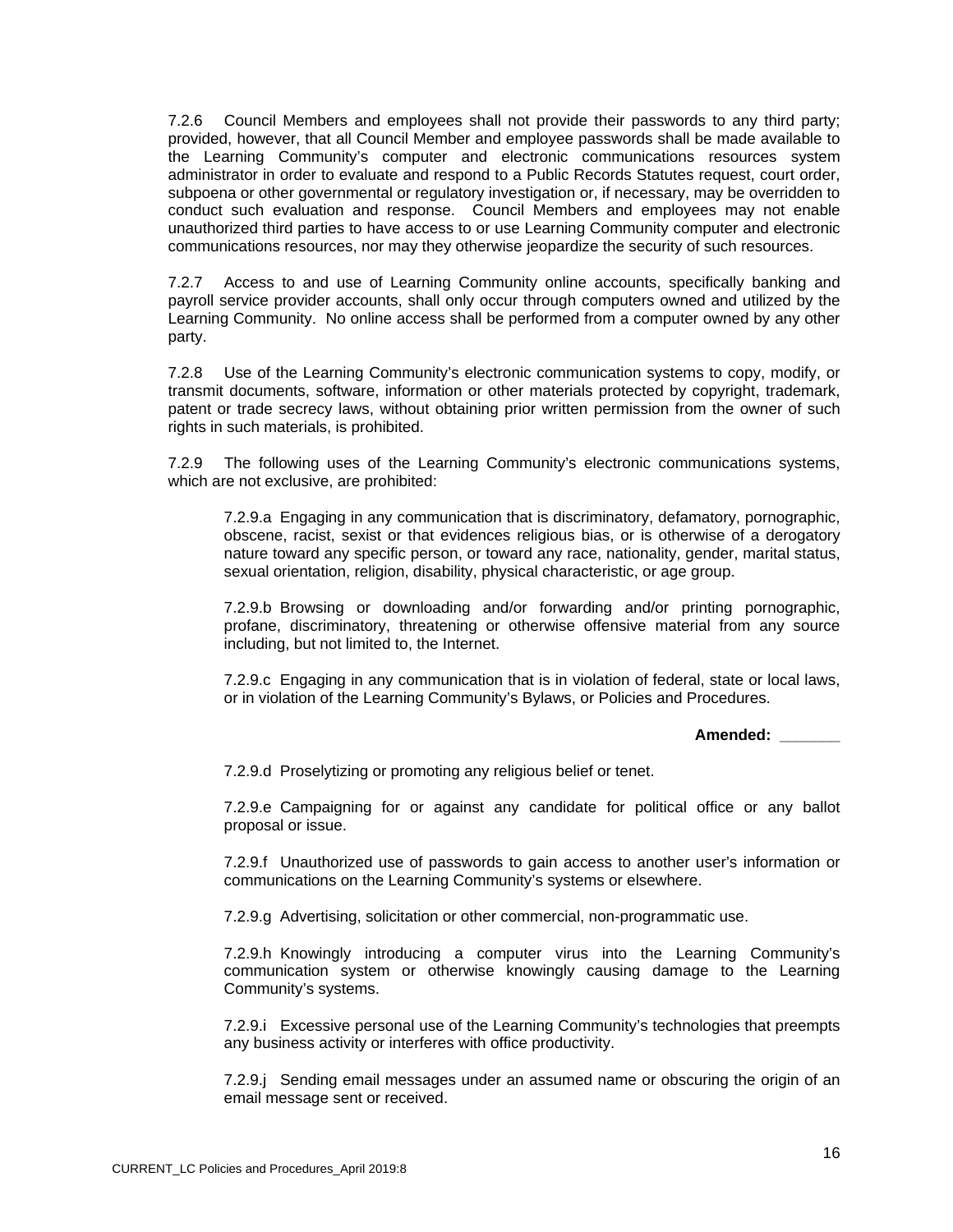7.2.6 Council Members and employees shall not provide their passwords to any third party; provided, however, that all Council Member and employee passwords shall be made available to the Learning Community's computer and electronic communications resources system administrator in order to evaluate and respond to a Public Records Statutes request, court order, subpoena or other governmental or regulatory investigation or, if necessary, may be overridden to conduct such evaluation and response. Council Members and employees may not enable unauthorized third parties to have access to or use Learning Community computer and electronic communications resources, nor may they otherwise jeopardize the security of such resources.

7.2.7 Access to and use of Learning Community online accounts, specifically banking and payroll service provider accounts, shall only occur through computers owned and utilized by the Learning Community. No online access shall be performed from a computer owned by any other party.

7.2.8 Use of the Learning Community's electronic communication systems to copy, modify, or transmit documents, software, information or other materials protected by copyright, trademark, patent or trade secrecy laws, without obtaining prior written permission from the owner of such rights in such materials, is prohibited.

7.2.9 The following uses of the Learning Community's electronic communications systems, which are not exclusive, are prohibited:

7.2.9.a Engaging in any communication that is discriminatory, defamatory, pornographic, obscene, racist, sexist or that evidences religious bias, or is otherwise of a derogatory nature toward any specific person, or toward any race, nationality, gender, marital status, sexual orientation, religion, disability, physical characteristic, or age group.

7.2.9.b Browsing or downloading and/or forwarding and/or printing pornographic, profane, discriminatory, threatening or otherwise offensive material from any source including, but not limited to, the Internet.

7.2.9.c Engaging in any communication that is in violation of federal, state or local laws, or in violation of the Learning Community's Bylaws, or Policies and Procedures.

**Amended: \_\_\_\_\_\_\_** 

7.2.9.d Proselytizing or promoting any religious belief or tenet.

7.2.9.e Campaigning for or against any candidate for political office or any ballot proposal or issue.

7.2.9.f Unauthorized use of passwords to gain access to another user's information or communications on the Learning Community's systems or elsewhere.

7.2.9.g Advertising, solicitation or other commercial, non-programmatic use.

7.2.9.h Knowingly introducing a computer virus into the Learning Community's communication system or otherwise knowingly causing damage to the Learning Community's systems.

7.2.9.i Excessive personal use of the Learning Community's technologies that preempts any business activity or interferes with office productivity.

7.2.9.j Sending email messages under an assumed name or obscuring the origin of an email message sent or received.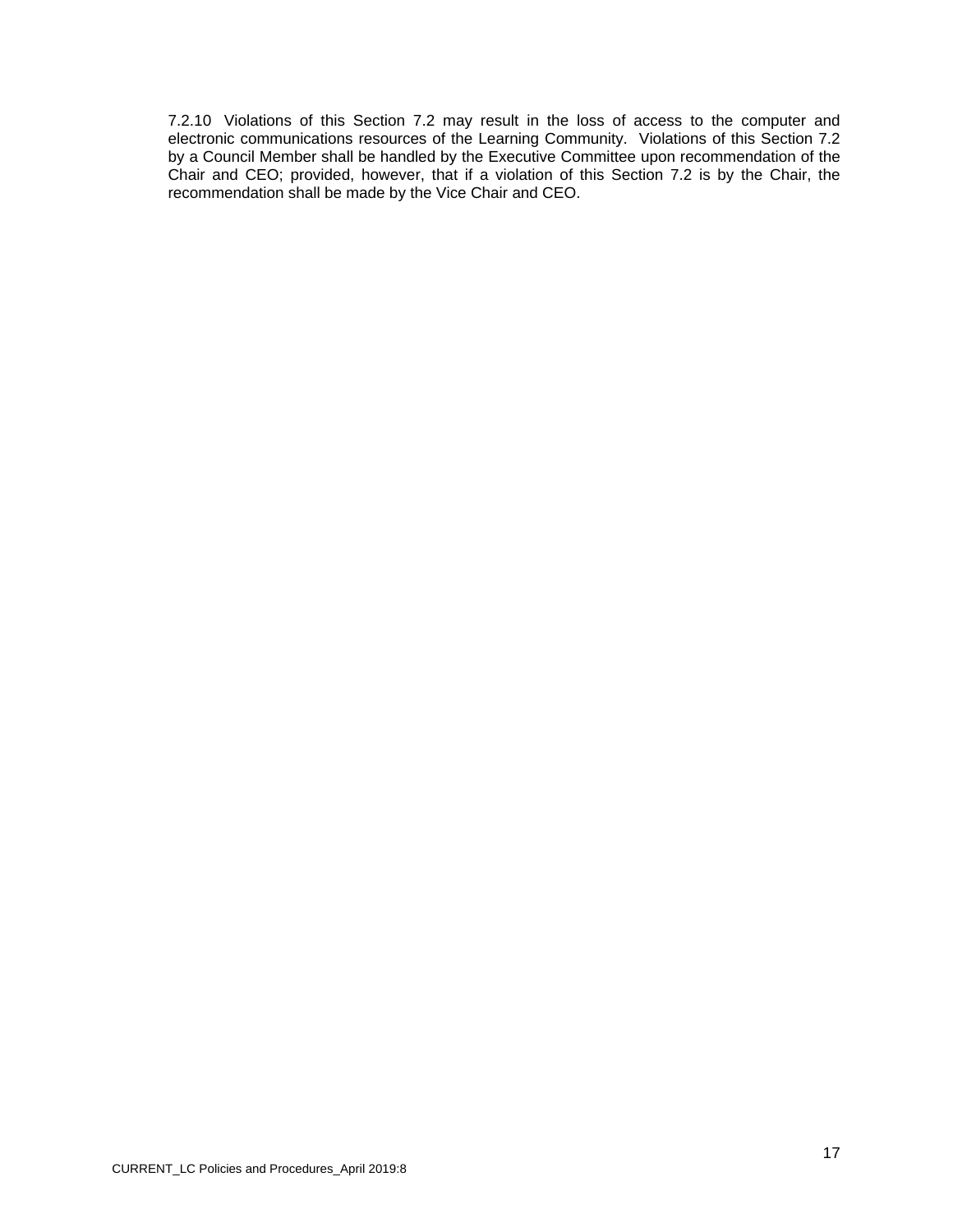7.2.10 Violations of this Section 7.2 may result in the loss of access to the computer and electronic communications resources of the Learning Community. Violations of this Section 7.2 by a Council Member shall be handled by the Executive Committee upon recommendation of the Chair and CEO; provided, however, that if a violation of this Section 7.2 is by the Chair, the recommendation shall be made by the Vice Chair and CEO.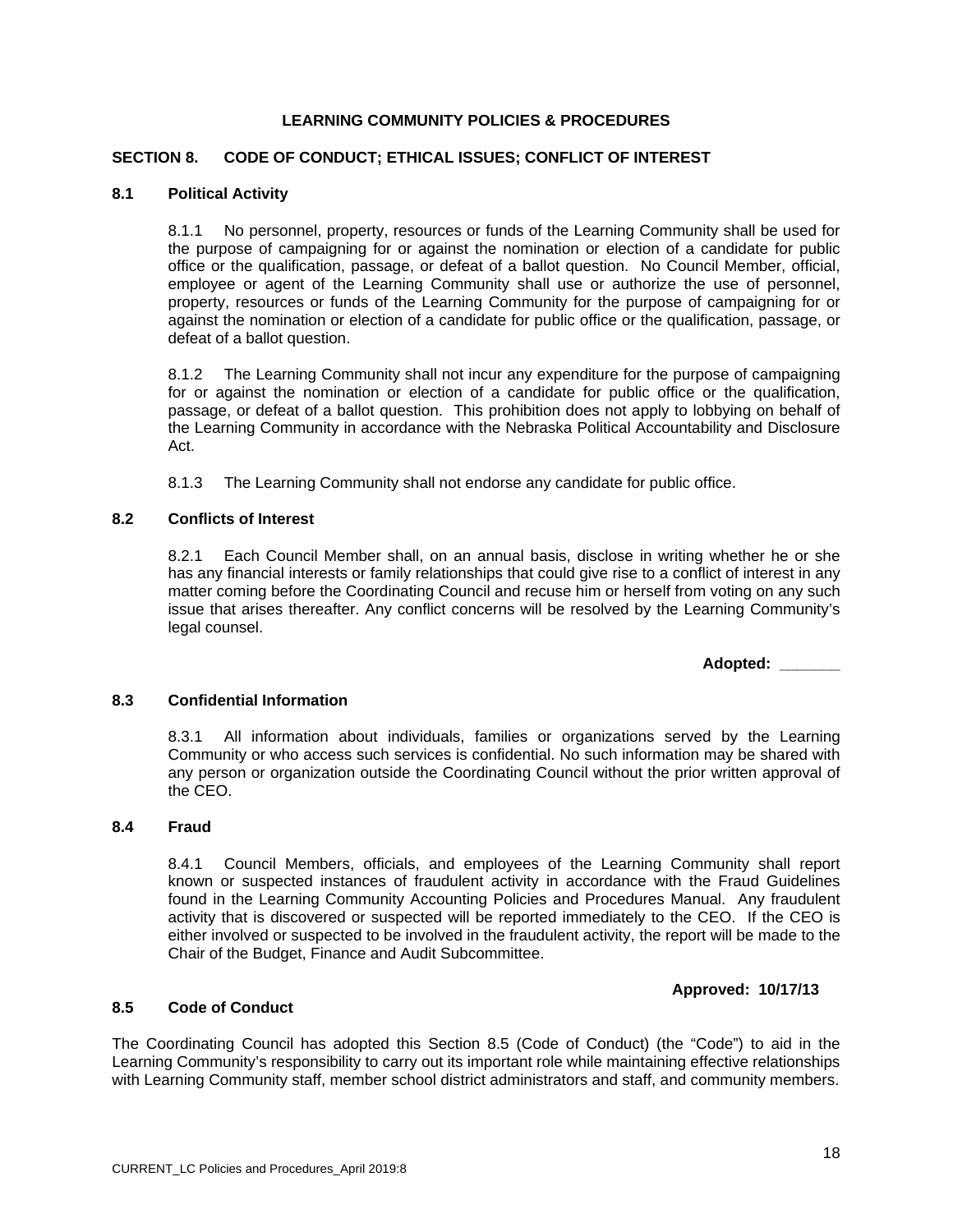## **SECTION 8. CODE OF CONDUCT; ETHICAL ISSUES; CONFLICT OF INTEREST**

#### **8.1 Political Activity**

8.1.1 No personnel, property, resources or funds of the Learning Community shall be used for the purpose of campaigning for or against the nomination or election of a candidate for public office or the qualification, passage, or defeat of a ballot question. No Council Member, official, employee or agent of the Learning Community shall use or authorize the use of personnel, property, resources or funds of the Learning Community for the purpose of campaigning for or against the nomination or election of a candidate for public office or the qualification, passage, or defeat of a ballot question.

8.1.2 The Learning Community shall not incur any expenditure for the purpose of campaigning for or against the nomination or election of a candidate for public office or the qualification, passage, or defeat of a ballot question. This prohibition does not apply to lobbying on behalf of the Learning Community in accordance with the Nebraska Political Accountability and Disclosure Act.

8.1.3 The Learning Community shall not endorse any candidate for public office.

#### **8.2 Conflicts of Interest**

8.2.1 Each Council Member shall, on an annual basis, disclose in writing whether he or she has any financial interests or family relationships that could give rise to a conflict of interest in any matter coming before the Coordinating Council and recuse him or herself from voting on any such issue that arises thereafter. Any conflict concerns will be resolved by the Learning Community's legal counsel.

**Adopted: \_\_\_\_\_\_\_** 

#### **8.3 Confidential Information**

8.3.1 All information about individuals, families or organizations served by the Learning Community or who access such services is confidential. No such information may be shared with any person or organization outside the Coordinating Council without the prior written approval of the CEO.

#### **8.4 Fraud**

8.4.1 Council Members, officials, and employees of the Learning Community shall report known or suspected instances of fraudulent activity in accordance with the Fraud Guidelines found in the Learning Community Accounting Policies and Procedures Manual. Any fraudulent activity that is discovered or suspected will be reported immediately to the CEO. If the CEO is either involved or suspected to be involved in the fraudulent activity, the report will be made to the Chair of the Budget, Finance and Audit Subcommittee.

#### **Approved: 10/17/13**

#### **8.5 Code of Conduct**

The Coordinating Council has adopted this Section 8.5 (Code of Conduct) (the "Code") to aid in the Learning Community's responsibility to carry out its important role while maintaining effective relationships with Learning Community staff, member school district administrators and staff, and community members.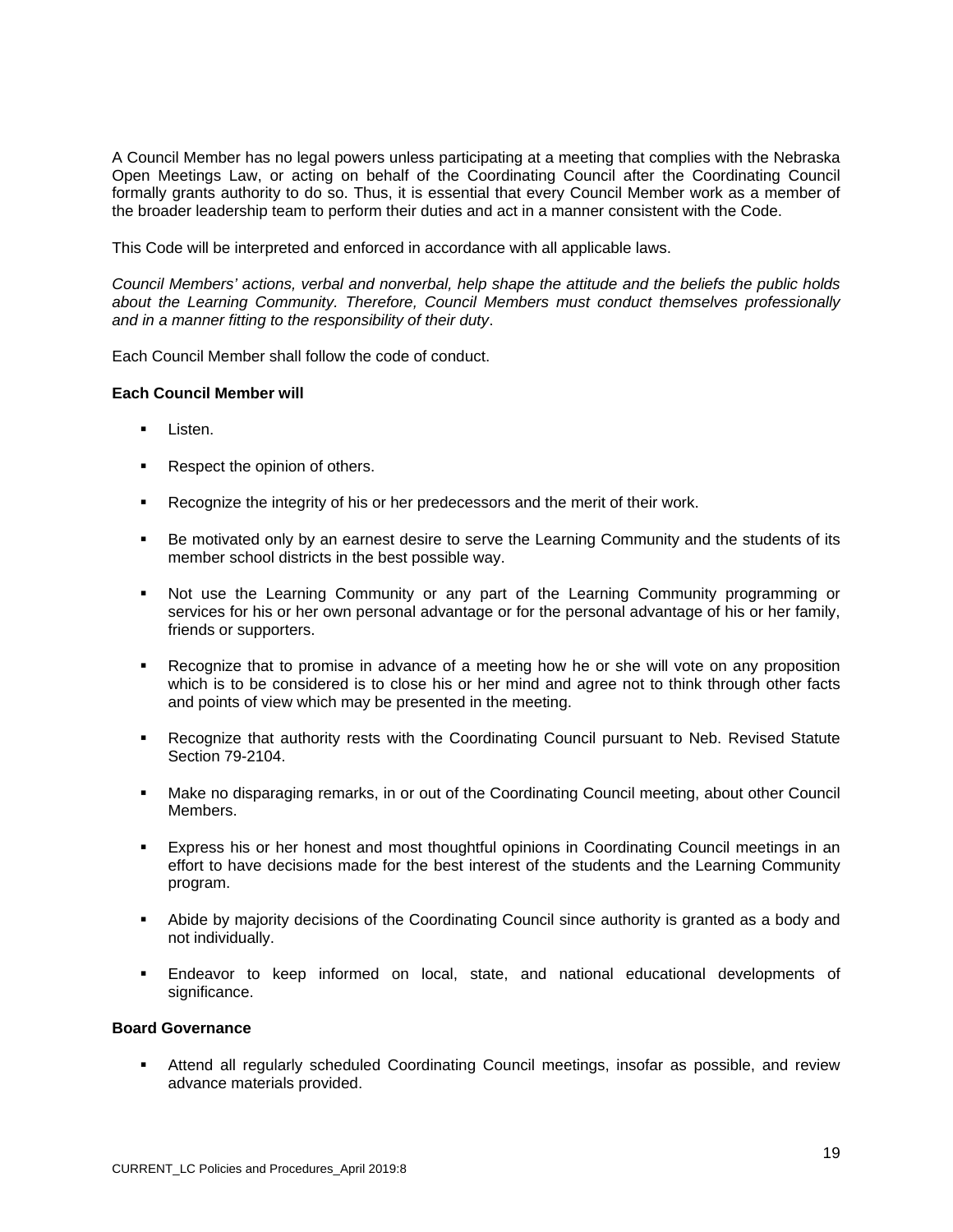A Council Member has no legal powers unless participating at a meeting that complies with the Nebraska Open Meetings Law, or acting on behalf of the Coordinating Council after the Coordinating Council formally grants authority to do so. Thus, it is essential that every Council Member work as a member of the broader leadership team to perform their duties and act in a manner consistent with the Code.

This Code will be interpreted and enforced in accordance with all applicable laws.

*Council Members' actions, verbal and nonverbal, help shape the attitude and the beliefs the public holds about the Learning Community. Therefore, Council Members must conduct themselves professionally and in a manner fitting to the responsibility of their duty*.

Each Council Member shall follow the code of conduct.

#### **Each Council Member will**

- **Listen.**
- Respect the opinion of others.
- Recognize the integrity of his or her predecessors and the merit of their work.
- **Be motivated only by an earnest desire to serve the Learning Community and the students of its** member school districts in the best possible way.
- Not use the Learning Community or any part of the Learning Community programming or services for his or her own personal advantage or for the personal advantage of his or her family, friends or supporters.
- Recognize that to promise in advance of a meeting how he or she will vote on any proposition which is to be considered is to close his or her mind and agree not to think through other facts and points of view which may be presented in the meeting.
- Recognize that authority rests with the Coordinating Council pursuant to Neb. Revised Statute Section 79-2104.
- Make no disparaging remarks, in or out of the Coordinating Council meeting, about other Council Members.
- Express his or her honest and most thoughtful opinions in Coordinating Council meetings in an effort to have decisions made for the best interest of the students and the Learning Community program.
- Abide by majority decisions of the Coordinating Council since authority is granted as a body and not individually.
- Endeavor to keep informed on local, state, and national educational developments of significance.

## **Board Governance**

 Attend all regularly scheduled Coordinating Council meetings, insofar as possible, and review advance materials provided.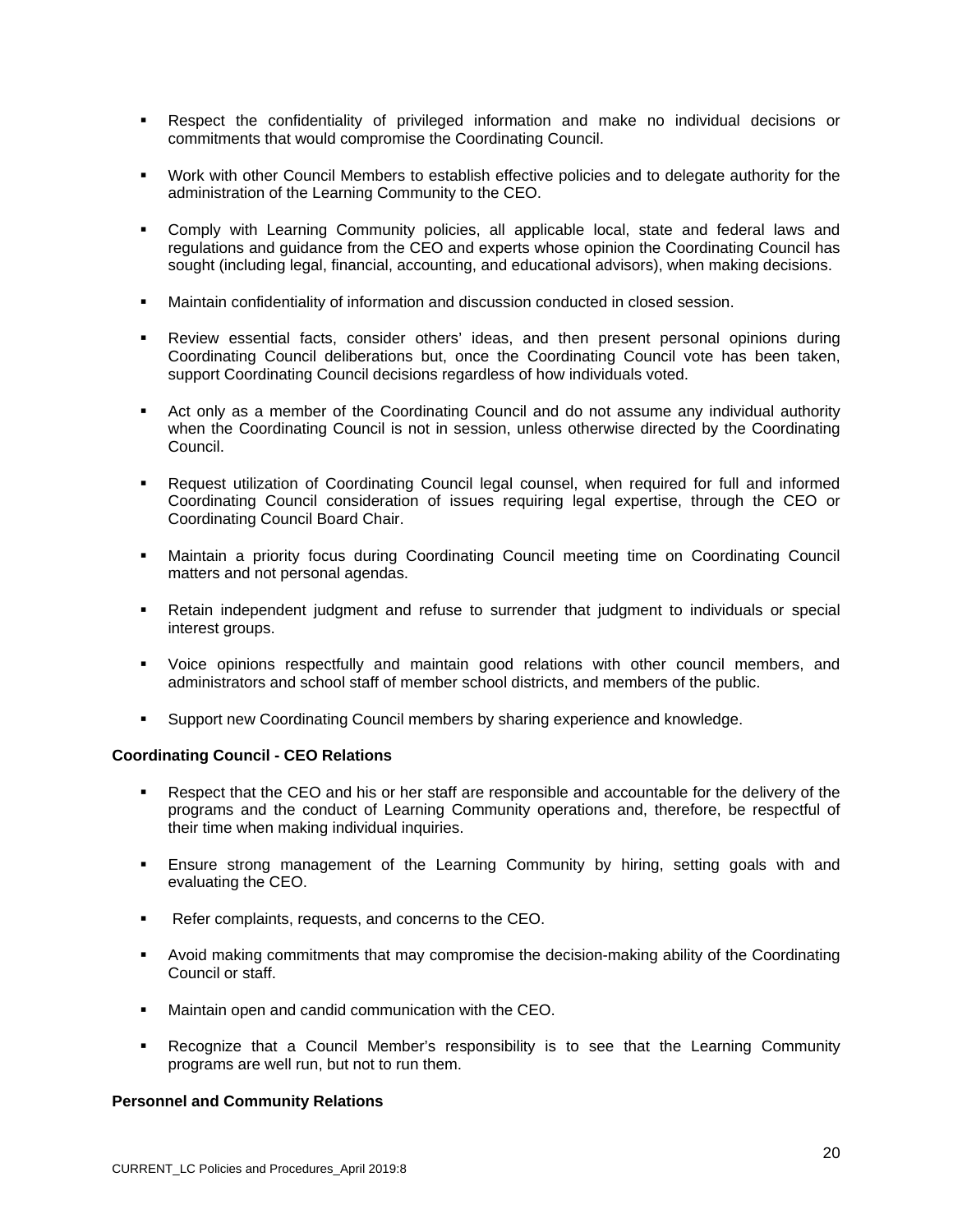- Respect the confidentiality of privileged information and make no individual decisions or commitments that would compromise the Coordinating Council.
- Work with other Council Members to establish effective policies and to delegate authority for the administration of the Learning Community to the CEO.
- Comply with Learning Community policies, all applicable local, state and federal laws and regulations and guidance from the CEO and experts whose opinion the Coordinating Council has sought (including legal, financial, accounting, and educational advisors), when making decisions.
- Maintain confidentiality of information and discussion conducted in closed session.
- Review essential facts, consider others' ideas, and then present personal opinions during Coordinating Council deliberations but, once the Coordinating Council vote has been taken, support Coordinating Council decisions regardless of how individuals voted.
- Act only as a member of the Coordinating Council and do not assume any individual authority when the Coordinating Council is not in session, unless otherwise directed by the Coordinating Council.
- Request utilization of Coordinating Council legal counsel, when required for full and informed Coordinating Council consideration of issues requiring legal expertise, through the CEO or Coordinating Council Board Chair.
- Maintain a priority focus during Coordinating Council meeting time on Coordinating Council matters and not personal agendas.
- Retain independent judgment and refuse to surrender that judgment to individuals or special interest groups.
- Voice opinions respectfully and maintain good relations with other council members, and administrators and school staff of member school districts, and members of the public.
- Support new Coordinating Council members by sharing experience and knowledge.

## **Coordinating Council - CEO Relations**

- Respect that the CEO and his or her staff are responsible and accountable for the delivery of the programs and the conduct of Learning Community operations and, therefore, be respectful of their time when making individual inquiries.
- Ensure strong management of the Learning Community by hiring, setting goals with and evaluating the CEO.
- Refer complaints, requests, and concerns to the CEO.
- Avoid making commitments that may compromise the decision-making ability of the Coordinating Council or staff.
- Maintain open and candid communication with the CEO.
- Recognize that a Council Member's responsibility is to see that the Learning Community programs are well run, but not to run them.

#### **Personnel and Community Relations**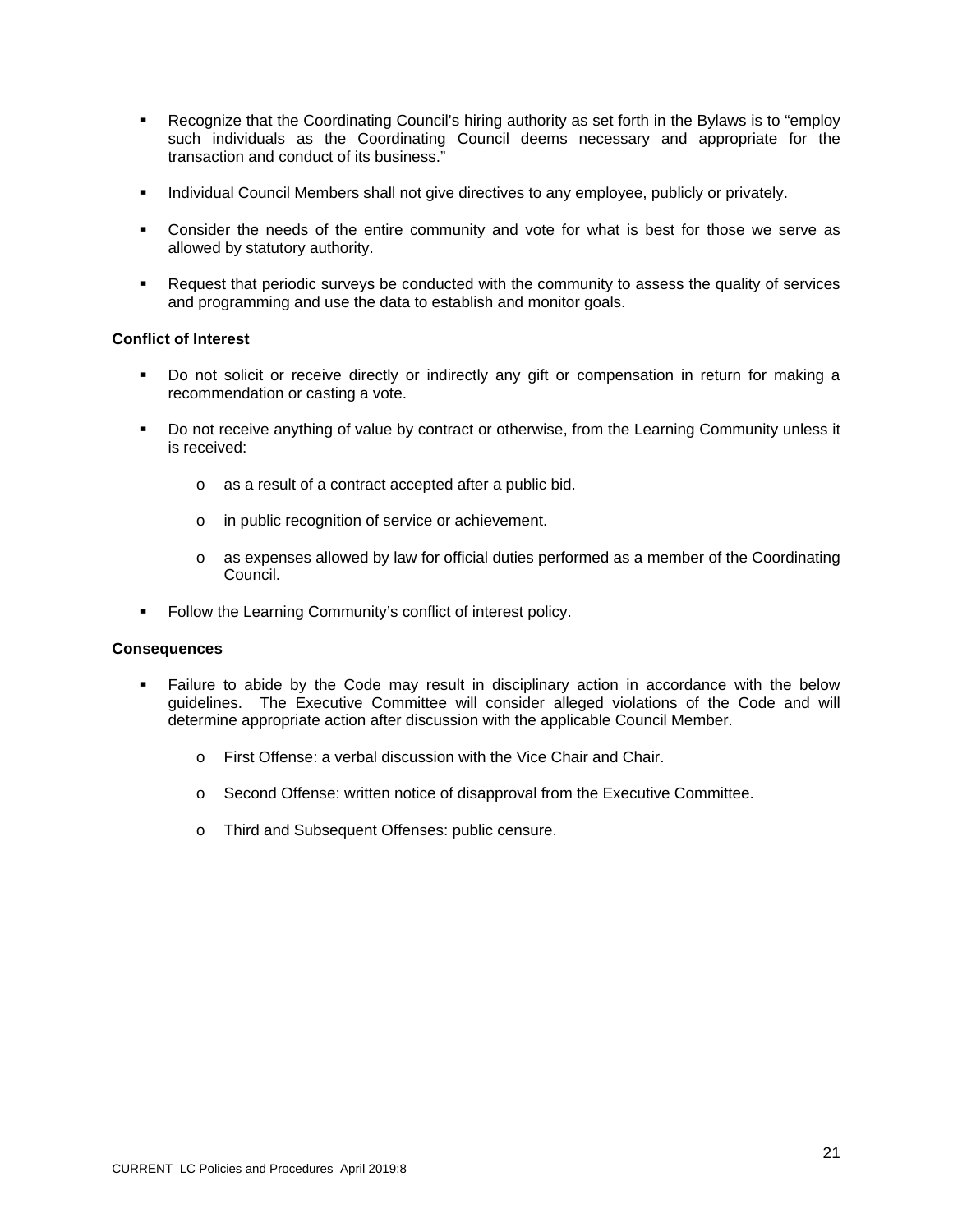- Recognize that the Coordinating Council's hiring authority as set forth in the Bylaws is to "employ such individuals as the Coordinating Council deems necessary and appropriate for the transaction and conduct of its business."
- **Individual Council Members shall not give directives to any employee, publicly or privately.**
- Consider the needs of the entire community and vote for what is best for those we serve as allowed by statutory authority.
- Request that periodic surveys be conducted with the community to assess the quality of services and programming and use the data to establish and monitor goals.

## **Conflict of Interest**

- Do not solicit or receive directly or indirectly any gift or compensation in return for making a recommendation or casting a vote.
- Do not receive anything of value by contract or otherwise, from the Learning Community unless it is received:
	- o as a result of a contract accepted after a public bid.
	- o in public recognition of service or achievement.
	- o as expenses allowed by law for official duties performed as a member of the Coordinating Council.
- **Follow the Learning Community's conflict of interest policy.**

#### **Consequences**

- Failure to abide by the Code may result in disciplinary action in accordance with the below guidelines. The Executive Committee will consider alleged violations of the Code and will determine appropriate action after discussion with the applicable Council Member.
	- o First Offense: a verbal discussion with the Vice Chair and Chair.
	- o Second Offense: written notice of disapproval from the Executive Committee.
	- o Third and Subsequent Offenses: public censure.